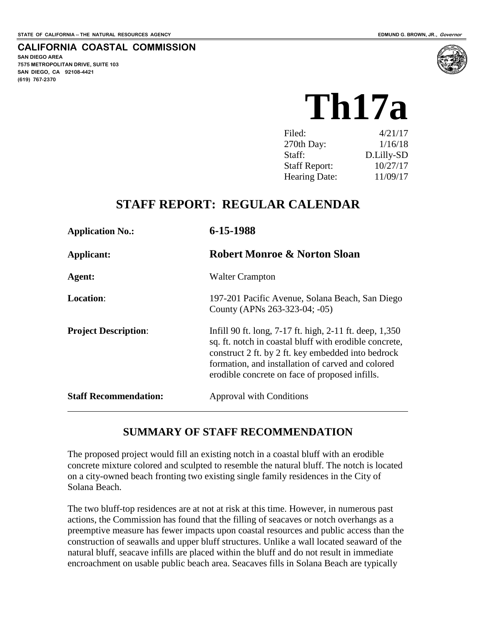**CALIFORNIA COASTAL COMMISSION**

**SAN DIEGO AREA 7575 METROPOLITAN DRIVE, SUITE 103 SAN DIEGO, CA 92108-4421 (619) 767-2370**

**Th17a** 

| Filed:               | 4/21/17    |
|----------------------|------------|
| 270th Day:           | 1/16/18    |
| Staff:               | D.Lilly-SD |
| <b>Staff Report:</b> | 10/27/17   |
| <b>Hearing Date:</b> | 11/09/17   |

## **STAFF REPORT: REGULAR CALENDAR**

| <b>Application No.:</b>      | 6-15-1988                                                                                                                                                                                                                                                                      |  |  |
|------------------------------|--------------------------------------------------------------------------------------------------------------------------------------------------------------------------------------------------------------------------------------------------------------------------------|--|--|
| Applicant:                   | <b>Robert Monroe &amp; Norton Sloan</b>                                                                                                                                                                                                                                        |  |  |
| Agent:                       | <b>Walter Crampton</b>                                                                                                                                                                                                                                                         |  |  |
| <b>Location:</b>             | 197-201 Pacific Avenue, Solana Beach, San Diego<br>County (APNs 263-323-04; -05)                                                                                                                                                                                               |  |  |
| <b>Project Description:</b>  | Infill 90 ft. long, 7-17 ft. high, 2-11 ft. deep, 1,350<br>sq. ft. notch in coastal bluff with erodible concrete,<br>construct 2 ft. by 2 ft. key embedded into bedrock<br>formation, and installation of carved and colored<br>erodible concrete on face of proposed infills. |  |  |
| <b>Staff Recommendation:</b> | Approval with Conditions                                                                                                                                                                                                                                                       |  |  |

### **SUMMARY OF STAFF RECOMMENDATION**

The proposed project would fill an existing notch in a coastal bluff with an erodible concrete mixture colored and sculpted to resemble the natural bluff. The notch is located on a city-owned beach fronting two existing single family residences in the City of Solana Beach.

The two bluff-top residences are at not at risk at this time. However, in numerous past actions, the Commission has found that the filling of seacaves or notch overhangs as a preemptive measure has fewer impacts upon coastal resources and public access than the construction of seawalls and upper bluff structures. Unlike a wall located seaward of the natural bluff, seacave infills are placed within the bluff and do not result in immediate encroachment on usable public beach area. Seacaves fills in Solana Beach are typically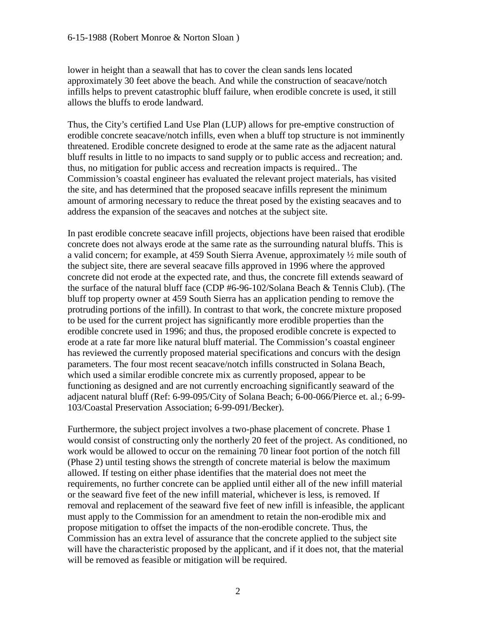lower in height than a seawall that has to cover the clean sands lens located approximately 30 feet above the beach. And while the construction of seacave/notch infills helps to prevent catastrophic bluff failure, when erodible concrete is used, it still allows the bluffs to erode landward.

Thus, the City's certified Land Use Plan (LUP) allows for pre-emptive construction of erodible concrete seacave/notch infills, even when a bluff top structure is not imminently threatened. Erodible concrete designed to erode at the same rate as the adjacent natural bluff results in little to no impacts to sand supply or to public access and recreation; and. thus, no mitigation for public access and recreation impacts is required.. The Commission's coastal engineer has evaluated the relevant project materials, has visited the site, and has determined that the proposed seacave infills represent the minimum amount of armoring necessary to reduce the threat posed by the existing seacaves and to address the expansion of the seacaves and notches at the subject site.

In past erodible concrete seacave infill projects, objections have been raised that erodible concrete does not always erode at the same rate as the surrounding natural bluffs. This is a valid concern; for example, at 459 South Sierra Avenue, approximately ½ mile south of the subject site, there are several seacave fills approved in 1996 where the approved concrete did not erode at the expected rate, and thus, the concrete fill extends seaward of the surface of the natural bluff face (CDP #6-96-102/Solana Beach & Tennis Club). (The bluff top property owner at 459 South Sierra has an application pending to remove the protruding portions of the infill). In contrast to that work, the concrete mixture proposed to be used for the current project has significantly more erodible properties than the erodible concrete used in 1996; and thus, the proposed erodible concrete is expected to erode at a rate far more like natural bluff material. The Commission's coastal engineer has reviewed the currently proposed material specifications and concurs with the design parameters. The four most recent seacave/notch infills constructed in Solana Beach, which used a similar erodible concrete mix as currently proposed, appear to be functioning as designed and are not currently encroaching significantly seaward of the adjacent natural bluff (Ref: 6-99-095/City of Solana Beach; 6-00-066/Pierce et. al.; 6-99- 103/Coastal Preservation Association; 6-99-091/Becker).

Furthermore, the subject project involves a two-phase placement of concrete. Phase 1 would consist of constructing only the northerly 20 feet of the project. As conditioned, no work would be allowed to occur on the remaining 70 linear foot portion of the notch fill (Phase 2) until testing shows the strength of concrete material is below the maximum allowed. If testing on either phase identifies that the material does not meet the requirements, no further concrete can be applied until either all of the new infill material or the seaward five feet of the new infill material, whichever is less, is removed. If removal and replacement of the seaward five feet of new infill is infeasible, the applicant must apply to the Commission for an amendment to retain the non-erodible mix and propose mitigation to offset the impacts of the non-erodible concrete. Thus, the Commission has an extra level of assurance that the concrete applied to the subject site will have the characteristic proposed by the applicant, and if it does not, that the material will be removed as feasible or mitigation will be required.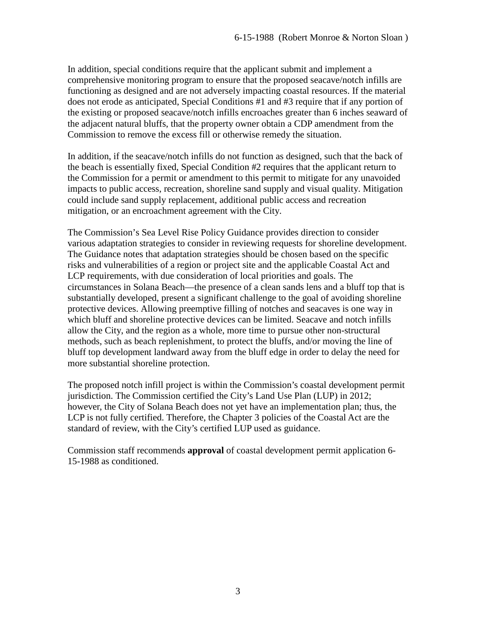In addition, special conditions require that the applicant submit and implement a comprehensive monitoring program to ensure that the proposed seacave/notch infills are functioning as designed and are not adversely impacting coastal resources. If the material does not erode as anticipated, Special Conditions #1 and #3 require that if any portion of the existing or proposed seacave/notch infills encroaches greater than 6 inches seaward of the adjacent natural bluffs, that the property owner obtain a CDP amendment from the Commission to remove the excess fill or otherwise remedy the situation.

In addition, if the seacave/notch infills do not function as designed, such that the back of the beach is essentially fixed, Special Condition #2 requires that the applicant return to the Commission for a permit or amendment to this permit to mitigate for any unavoided impacts to public access, recreation, shoreline sand supply and visual quality. Mitigation could include sand supply replacement, additional public access and recreation mitigation, or an encroachment agreement with the City.

The Commission's Sea Level Rise Policy Guidance provides direction to consider various adaptation strategies to consider in reviewing requests for shoreline development. The Guidance notes that adaptation strategies should be chosen based on the specific risks and vulnerabilities of a region or project site and the applicable Coastal Act and LCP requirements, with due consideration of local priorities and goals. The circumstances in Solana Beach—the presence of a clean sands lens and a bluff top that is substantially developed, present a significant challenge to the goal of avoiding shoreline protective devices. Allowing preemptive filling of notches and seacaves is one way in which bluff and shoreline protective devices can be limited. Seacave and notch infills allow the City, and the region as a whole, more time to pursue other non-structural methods, such as beach replenishment, to protect the bluffs, and/or moving the line of bluff top development landward away from the bluff edge in order to delay the need for more substantial shoreline protection.

The proposed notch infill project is within the Commission's coastal development permit jurisdiction. The Commission certified the City's Land Use Plan (LUP) in 2012; however, the City of Solana Beach does not yet have an implementation plan; thus, the LCP is not fully certified. Therefore, the Chapter 3 policies of the Coastal Act are the standard of review, with the City's certified LUP used as guidance.

Commission staff recommends **approval** of coastal development permit application 6- 15-1988 as conditioned.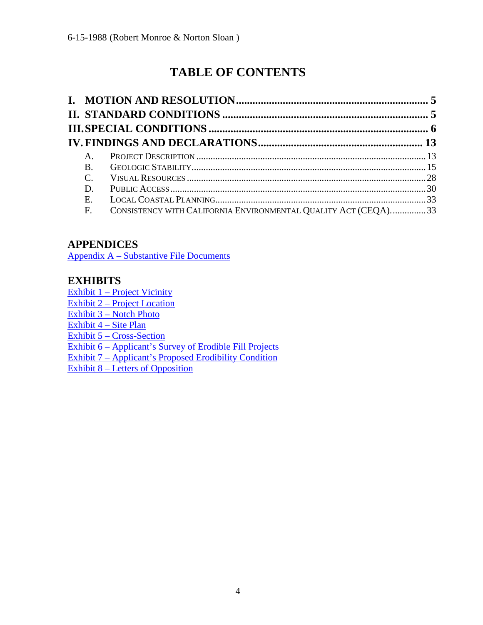# **TABLE OF CONTENTS**

| A.          |                                                                |  |
|-------------|----------------------------------------------------------------|--|
| <b>B.</b>   |                                                                |  |
| $C_{\cdot}$ |                                                                |  |
| D.          |                                                                |  |
| Е.          |                                                                |  |
| F.          | CONSISTENCY WITH CALIFORNIA ENVIRONMENTAL QUALITY ACT (CEQA)33 |  |

## **APPENDICES**

[Appendix A – Substantive File Documents](#page-34-0)

### **EXHIBITS**

[Exhibit 1 – Project Vicinity](https://documents.coastal.ca.gov/reports/2017/11/Th17a/Th17a-11-2017-exhibits.pdf) [Exhibit 2 – Project Location](https://documents.coastal.ca.gov/reports/2017/11/Th17a/Th17a-11-2017-exhibits.pdf) [Exhibit 3 – Notch Photo](https://documents.coastal.ca.gov/reports/2017/11/Th17a/Th17a-11-2017-exhibits.pdf)  [Exhibit 4 – Site Plan](https://documents.coastal.ca.gov/reports/2017/11/Th17a/Th17a-11-2017-exhibits.pdf) [Exhibit 5 – Cross-Section](https://documents.coastal.ca.gov/reports/2017/11/Th17a/Th17a-11-2017-exhibits.pdf) [Exhibit 6 – Applicant's Survey of Erodible Fill Projects](https://documents.coastal.ca.gov/reports/2017/11/Th17a/Th17a-11-2017-exhibits.pdf)  [Exhibit 7 – Applicant's](https://documents.coastal.ca.gov/reports/2017/11/Th17a/Th17a-11-2017-exhibits.pdf) Proposed Erodibility Condition Exhibit 8 – Letters of [Opposition](https://documents.coastal.ca.gov/reports/2017/11/Th17a/Th17a-11-2017-exhibits.pdf)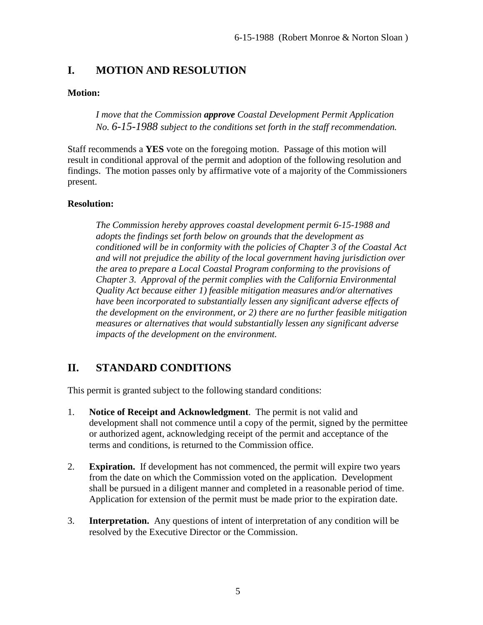### <span id="page-4-0"></span>**I. MOTION AND RESOLUTION**

### **Motion:**

*I move that the Commission approve Coastal Development Permit Application No. 6-15-1988 subject to the conditions set forth in the staff recommendation.* 

Staff recommends a **YES** vote on the foregoing motion. Passage of this motion will result in conditional approval of the permit and adoption of the following resolution and findings. The motion passes only by affirmative vote of a majority of the Commissioners present.

### **Resolution:**

*The Commission hereby approves coastal development permit 6-15-1988 and adopts the findings set forth below on grounds that the development as conditioned will be in conformity with the policies of Chapter 3 of the Coastal Act and will not prejudice the ability of the local government having jurisdiction over the area to prepare a Local Coastal Program conforming to the provisions of Chapter 3. Approval of the permit complies with the California Environmental Quality Act because either 1) feasible mitigation measures and/or alternatives have been incorporated to substantially lessen any significant adverse effects of the development on the environment, or 2) there are no further feasible mitigation measures or alternatives that would substantially lessen any significant adverse impacts of the development on the environment.* 

### <span id="page-4-1"></span>**II. STANDARD CONDITIONS**

This permit is granted subject to the following standard conditions:

- 1. **Notice of Receipt and Acknowledgment**. The permit is not valid and development shall not commence until a copy of the permit, signed by the permittee or authorized agent, acknowledging receipt of the permit and acceptance of the terms and conditions, is returned to the Commission office.
- 2. **Expiration.** If development has not commenced, the permit will expire two years from the date on which the Commission voted on the application. Development shall be pursued in a diligent manner and completed in a reasonable period of time. Application for extension of the permit must be made prior to the expiration date.
- 3. **Interpretation.** Any questions of intent of interpretation of any condition will be resolved by the Executive Director or the Commission.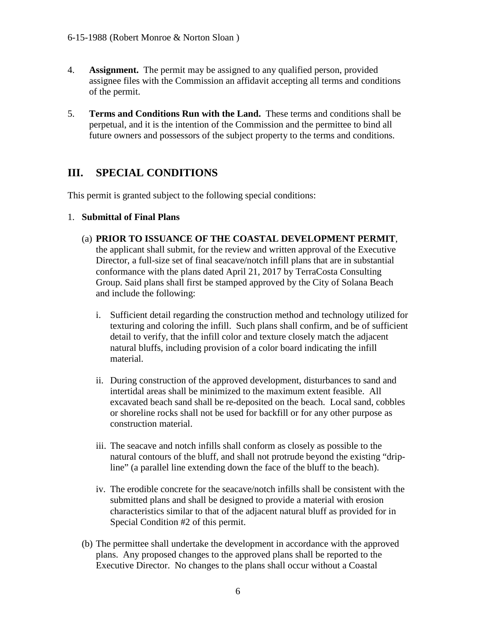- 4. **Assignment.** The permit may be assigned to any qualified person, provided assignee files with the Commission an affidavit accepting all terms and conditions of the permit.
- 5. **Terms and Conditions Run with the Land.** These terms and conditions shall be perpetual, and it is the intention of the Commission and the permittee to bind all future owners and possessors of the subject property to the terms and conditions.

### <span id="page-5-0"></span>**III. SPECIAL CONDITIONS**

This permit is granted subject to the following special conditions:

### 1. **Submittal of Final Plans**

- (a) **PRIOR TO ISSUANCE OF THE COASTAL DEVELOPMENT PERMIT**, the applicant shall submit, for the review and written approval of the Executive Director, a full-size set of final seacave/notch infill plans that are in substantial conformance with the plans dated April 21, 2017 by TerraCosta Consulting Group. Said plans shall first be stamped approved by the City of Solana Beach and include the following:
	- i. Sufficient detail regarding the construction method and technology utilized for texturing and coloring the infill. Such plans shall confirm, and be of sufficient detail to verify, that the infill color and texture closely match the adjacent natural bluffs, including provision of a color board indicating the infill material.
	- ii. During construction of the approved development, disturbances to sand and intertidal areas shall be minimized to the maximum extent feasible. All excavated beach sand shall be re-deposited on the beach. Local sand, cobbles or shoreline rocks shall not be used for backfill or for any other purpose as construction material.
	- iii. The seacave and notch infills shall conform as closely as possible to the natural contours of the bluff, and shall not protrude beyond the existing "dripline" (a parallel line extending down the face of the bluff to the beach).
	- iv. The erodible concrete for the seacave/notch infills shall be consistent with the submitted plans and shall be designed to provide a material with erosion characteristics similar to that of the adjacent natural bluff as provided for in Special Condition #2 of this permit.
- (b) The permittee shall undertake the development in accordance with the approved plans. Any proposed changes to the approved plans shall be reported to the Executive Director. No changes to the plans shall occur without a Coastal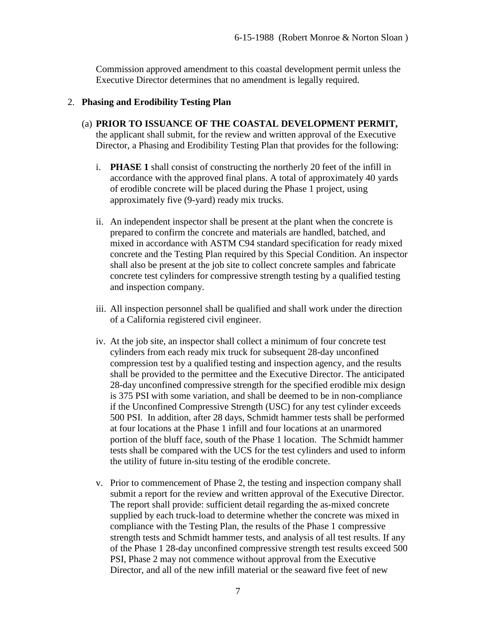Commission approved amendment to this coastal development permit unless the Executive Director determines that no amendment is legally required.

### 2. **Phasing and Erodibility Testing Plan**

- (a) **PRIOR TO ISSUANCE OF THE COASTAL DEVELOPMENT PERMIT,** the applicant shall submit, for the review and written approval of the Executive Director, a Phasing and Erodibility Testing Plan that provides for the following:
	- i. **PHASE 1** shall consist of constructing the northerly 20 feet of the infill in accordance with the approved final plans. A total of approximately 40 yards of erodible concrete will be placed during the Phase 1 project, using approximately five (9-yard) ready mix trucks.
	- ii. An independent inspector shall be present at the plant when the concrete is prepared to confirm the concrete and materials are handled, batched, and mixed in accordance with ASTM C94 standard specification for ready mixed concrete and the Testing Plan required by this Special Condition. An inspector shall also be present at the job site to collect concrete samples and fabricate concrete test cylinders for compressive strength testing by a qualified testing and inspection company.
	- iii. All inspection personnel shall be qualified and shall work under the direction of a California registered civil engineer.
	- iv. At the job site, an inspector shall collect a minimum of four concrete test cylinders from each ready mix truck for subsequent 28-day unconfined compression test by a qualified testing and inspection agency, and the results shall be provided to the permittee and the Executive Director. The anticipated 28-day unconfined compressive strength for the specified erodible mix design is 375 PSI with some variation, and shall be deemed to be in non-compliance if the Unconfined Compressive Strength (USC) for any test cylinder exceeds 500 PSI. In addition, after 28 days, Schmidt hammer tests shall be performed at four locations at the Phase 1 infill and four locations at an unarmored portion of the bluff face, south of the Phase 1 location. The Schmidt hammer tests shall be compared with the UCS for the test cylinders and used to inform the utility of future in-situ testing of the erodible concrete.
	- v. Prior to commencement of Phase 2, the testing and inspection company shall submit a report for the review and written approval of the Executive Director. The report shall provide: sufficient detail regarding the as-mixed concrete supplied by each truck-load to determine whether the concrete was mixed in compliance with the Testing Plan, the results of the Phase 1 compressive strength tests and Schmidt hammer tests, and analysis of all test results. If any of the Phase 1 28-day unconfined compressive strength test results exceed 500 PSI, Phase 2 may not commence without approval from the Executive Director, and all of the new infill material or the seaward five feet of new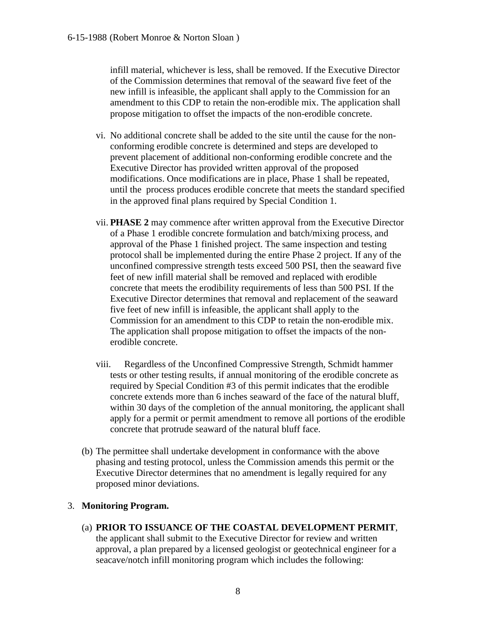infill material, whichever is less, shall be removed. If the Executive Director of the Commission determines that removal of the seaward five feet of the new infill is infeasible, the applicant shall apply to the Commission for an amendment to this CDP to retain the non-erodible mix. The application shall propose mitigation to offset the impacts of the non-erodible concrete.

- vi. No additional concrete shall be added to the site until the cause for the nonconforming erodible concrete is determined and steps are developed to prevent placement of additional non-conforming erodible concrete and the Executive Director has provided written approval of the proposed modifications. Once modifications are in place, Phase 1 shall be repeated, until the process produces erodible concrete that meets the standard specified in the approved final plans required by Special Condition 1.
- vii. **PHASE 2** may commence after written approval from the Executive Director of a Phase 1 erodible concrete formulation and batch/mixing process, and approval of the Phase 1 finished project. The same inspection and testing protocol shall be implemented during the entire Phase 2 project. If any of the unconfined compressive strength tests exceed 500 PSI, then the seaward five feet of new infill material shall be removed and replaced with erodible concrete that meets the erodibility requirements of less than 500 PSI. If the Executive Director determines that removal and replacement of the seaward five feet of new infill is infeasible, the applicant shall apply to the Commission for an amendment to this CDP to retain the non-erodible mix. The application shall propose mitigation to offset the impacts of the nonerodible concrete.
- viii. Regardless of the Unconfined Compressive Strength, Schmidt hammer tests or other testing results, if annual monitoring of the erodible concrete as required by Special Condition #3 of this permit indicates that the erodible concrete extends more than 6 inches seaward of the face of the natural bluff, within 30 days of the completion of the annual monitoring, the applicant shall apply for a permit or permit amendment to remove all portions of the erodible concrete that protrude seaward of the natural bluff face.
- (b) The permittee shall undertake development in conformance with the above phasing and testing protocol, unless the Commission amends this permit or the Executive Director determines that no amendment is legally required for any proposed minor deviations.

### 3. **Monitoring Program.**

(a) **PRIOR TO ISSUANCE OF THE COASTAL DEVELOPMENT PERMIT**, the applicant shall submit to the Executive Director for review and written approval, a plan prepared by a licensed geologist or geotechnical engineer for a seacave/notch infill monitoring program which includes the following: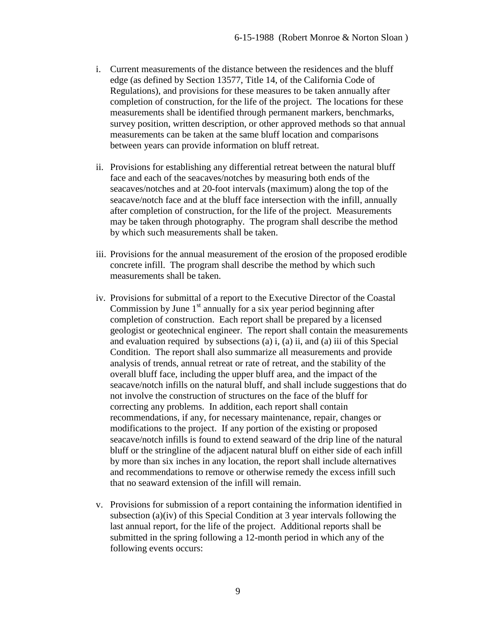- i. Current measurements of the distance between the residences and the bluff edge (as defined by Section 13577, Title 14, of the California Code of Regulations), and provisions for these measures to be taken annually after completion of construction, for the life of the project. The locations for these measurements shall be identified through permanent markers, benchmarks, survey position, written description, or other approved methods so that annual measurements can be taken at the same bluff location and comparisons between years can provide information on bluff retreat.
- ii. Provisions for establishing any differential retreat between the natural bluff face and each of the seacaves/notches by measuring both ends of the seacaves/notches and at 20-foot intervals (maximum) along the top of the seacave/notch face and at the bluff face intersection with the infill, annually after completion of construction, for the life of the project. Measurements may be taken through photography. The program shall describe the method by which such measurements shall be taken.
- iii. Provisions for the annual measurement of the erosion of the proposed erodible concrete infill. The program shall describe the method by which such measurements shall be taken.
- iv. Provisions for submittal of a report to the Executive Director of the Coastal Commission by June  $1<sup>st</sup>$  annually for a six year period beginning after completion of construction. Each report shall be prepared by a licensed geologist or geotechnical engineer. The report shall contain the measurements and evaluation required by subsections (a) i, (a) ii, and (a) iii of this Special Condition. The report shall also summarize all measurements and provide analysis of trends, annual retreat or rate of retreat, and the stability of the overall bluff face, including the upper bluff area, and the impact of the seacave/notch infills on the natural bluff, and shall include suggestions that do not involve the construction of structures on the face of the bluff for correcting any problems. In addition, each report shall contain recommendations, if any, for necessary maintenance, repair, changes or modifications to the project. If any portion of the existing or proposed seacave/notch infills is found to extend seaward of the drip line of the natural bluff or the stringline of the adjacent natural bluff on either side of each infill by more than six inches in any location, the report shall include alternatives and recommendations to remove or otherwise remedy the excess infill such that no seaward extension of the infill will remain.
- v. Provisions for submission of a report containing the information identified in subsection (a)(iv) of this Special Condition at 3 year intervals following the last annual report, for the life of the project. Additional reports shall be submitted in the spring following a 12-month period in which any of the following events occurs: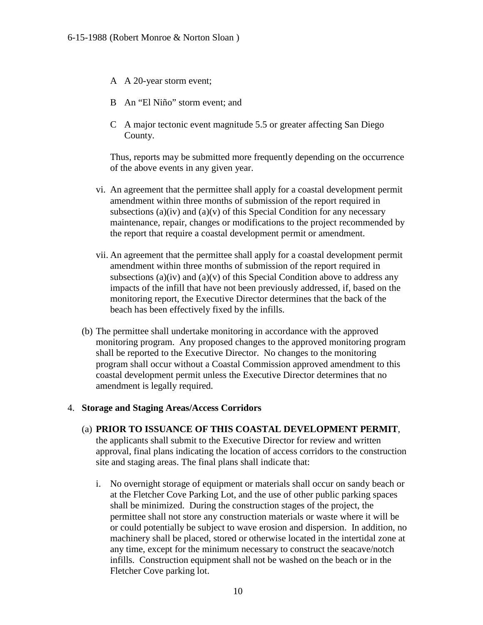- A A 20-year storm event;
- B An "El Niño" storm event; and
- C A major tectonic event magnitude 5.5 or greater affecting San Diego County.

Thus, reports may be submitted more frequently depending on the occurrence of the above events in any given year.

- vi. An agreement that the permittee shall apply for a coastal development permit amendment within three months of submission of the report required in subsections (a)(iv) and (a)(v) of this Special Condition for any necessary maintenance, repair, changes or modifications to the project recommended by the report that require a coastal development permit or amendment.
- vii. An agreement that the permittee shall apply for a coastal development permit amendment within three months of submission of the report required in subsections (a)(iv) and (a)(v) of this Special Condition above to address any impacts of the infill that have not been previously addressed, if, based on the monitoring report, the Executive Director determines that the back of the beach has been effectively fixed by the infills.
- (b) The permittee shall undertake monitoring in accordance with the approved monitoring program. Any proposed changes to the approved monitoring program shall be reported to the Executive Director. No changes to the monitoring program shall occur without a Coastal Commission approved amendment to this coastal development permit unless the Executive Director determines that no amendment is legally required.

### 4. **Storage and Staging Areas/Access Corridors**

- (a) **PRIOR TO ISSUANCE OF THIS COASTAL DEVELOPMENT PERMIT**, the applicants shall submit to the Executive Director for review and written approval, final plans indicating the location of access corridors to the construction site and staging areas. The final plans shall indicate that:
	- i. No overnight storage of equipment or materials shall occur on sandy beach or at the Fletcher Cove Parking Lot, and the use of other public parking spaces shall be minimized. During the construction stages of the project, the permittee shall not store any construction materials or waste where it will be or could potentially be subject to wave erosion and dispersion. In addition, no machinery shall be placed, stored or otherwise located in the intertidal zone at any time, except for the minimum necessary to construct the seacave/notch infills. Construction equipment shall not be washed on the beach or in the Fletcher Cove parking lot.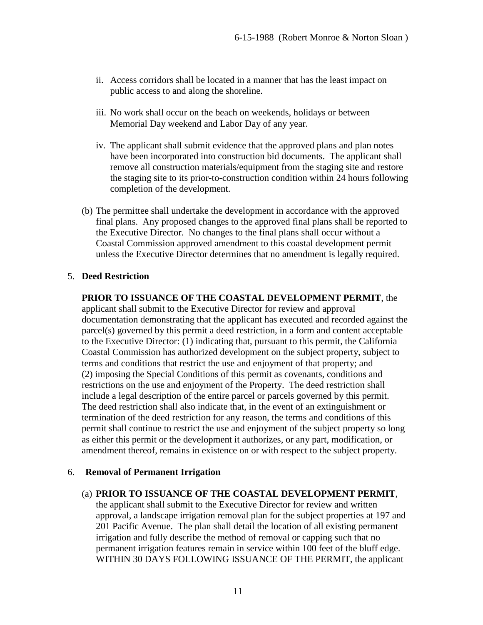- ii. Access corridors shall be located in a manner that has the least impact on public access to and along the shoreline.
- iii. No work shall occur on the beach on weekends, holidays or between Memorial Day weekend and Labor Day of any year.
- iv. The applicant shall submit evidence that the approved plans and plan notes have been incorporated into construction bid documents. The applicant shall remove all construction materials/equipment from the staging site and restore the staging site to its prior-to-construction condition within 24 hours following completion of the development.
- (b) The permittee shall undertake the development in accordance with the approved final plans. Any proposed changes to the approved final plans shall be reported to the Executive Director. No changes to the final plans shall occur without a Coastal Commission approved amendment to this coastal development permit unless the Executive Director determines that no amendment is legally required.

### 5. **Deed Restriction**

#### **PRIOR TO ISSUANCE OF THE COASTAL DEVELOPMENT PERMIT**, the

applicant shall submit to the Executive Director for review and approval documentation demonstrating that the applicant has executed and recorded against the parcel(s) governed by this permit a deed restriction, in a form and content acceptable to the Executive Director: (1) indicating that, pursuant to this permit, the California Coastal Commission has authorized development on the subject property, subject to terms and conditions that restrict the use and enjoyment of that property; and (2) imposing the Special Conditions of this permit as covenants, conditions and restrictions on the use and enjoyment of the Property. The deed restriction shall include a legal description of the entire parcel or parcels governed by this permit. The deed restriction shall also indicate that, in the event of an extinguishment or termination of the deed restriction for any reason, the terms and conditions of this permit shall continue to restrict the use and enjoyment of the subject property so long as either this permit or the development it authorizes, or any part, modification, or amendment thereof, remains in existence on or with respect to the subject property.

#### 6. **Removal of Permanent Irrigation**

#### (a) **PRIOR TO ISSUANCE OF THE COASTAL DEVELOPMENT PERMIT**,

the applicant shall submit to the Executive Director for review and written approval, a landscape irrigation removal plan for the subject properties at 197 and 201 Pacific Avenue. The plan shall detail the location of all existing permanent irrigation and fully describe the method of removal or capping such that no permanent irrigation features remain in service within 100 feet of the bluff edge. WITHIN 30 DAYS FOLLOWING ISSUANCE OF THE PERMIT, the applicant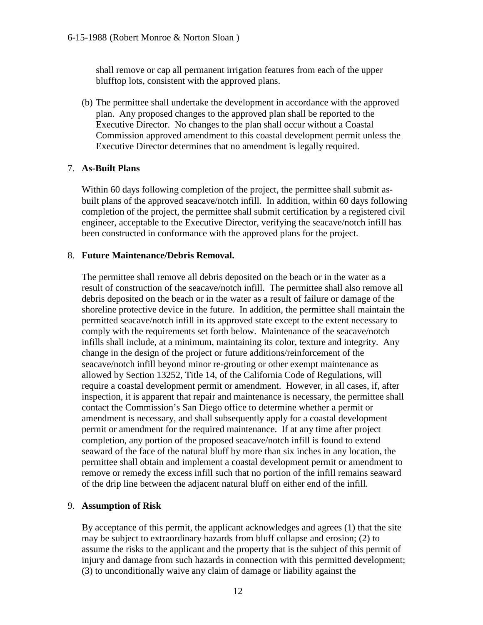shall remove or cap all permanent irrigation features from each of the upper blufftop lots, consistent with the approved plans.

(b) The permittee shall undertake the development in accordance with the approved plan. Any proposed changes to the approved plan shall be reported to the Executive Director. No changes to the plan shall occur without a Coastal Commission approved amendment to this coastal development permit unless the Executive Director determines that no amendment is legally required.

### 7. **As-Built Plans**

Within 60 days following completion of the project, the permittee shall submit asbuilt plans of the approved seacave/notch infill. In addition, within 60 days following completion of the project, the permittee shall submit certification by a registered civil engineer, acceptable to the Executive Director, verifying the seacave/notch infill has been constructed in conformance with the approved plans for the project.

### 8. **Future Maintenance/Debris Removal.**

The permittee shall remove all debris deposited on the beach or in the water as a result of construction of the seacave/notch infill. The permittee shall also remove all debris deposited on the beach or in the water as a result of failure or damage of the shoreline protective device in the future. In addition, the permittee shall maintain the permitted seacave/notch infill in its approved state except to the extent necessary to comply with the requirements set forth below. Maintenance of the seacave/notch infills shall include, at a minimum, maintaining its color, texture and integrity. Any change in the design of the project or future additions/reinforcement of the seacave/notch infill beyond minor re-grouting or other exempt maintenance as allowed by Section 13252, Title 14, of the California Code of Regulations, will require a coastal development permit or amendment. However, in all cases, if, after inspection, it is apparent that repair and maintenance is necessary, the permittee shall contact the Commission's San Diego office to determine whether a permit or amendment is necessary, and shall subsequently apply for a coastal development permit or amendment for the required maintenance. If at any time after project completion, any portion of the proposed seacave/notch infill is found to extend seaward of the face of the natural bluff by more than six inches in any location, the permittee shall obtain and implement a coastal development permit or amendment to remove or remedy the excess infill such that no portion of the infill remains seaward of the drip line between the adjacent natural bluff on either end of the infill.

### 9. **Assumption of Risk**

By acceptance of this permit, the applicant acknowledges and agrees (1) that the site may be subject to extraordinary hazards from bluff collapse and erosion; (2) to assume the risks to the applicant and the property that is the subject of this permit of injury and damage from such hazards in connection with this permitted development; (3) to unconditionally waive any claim of damage or liability against the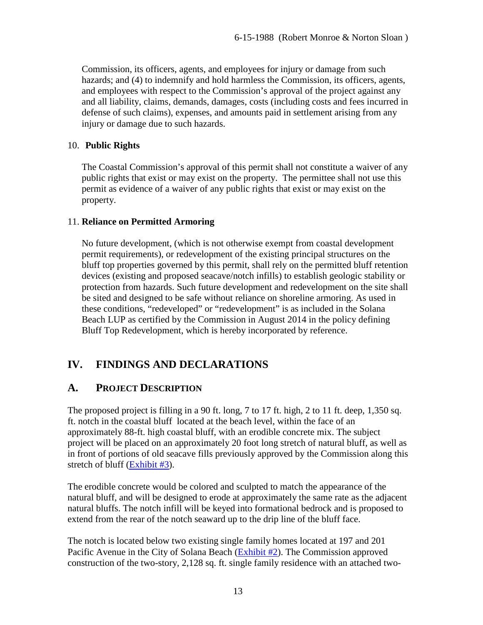Commission, its officers, agents, and employees for injury or damage from such hazards; and (4) to indemnify and hold harmless the Commission, its officers, agents, and employees with respect to the Commission's approval of the project against any and all liability, claims, demands, damages, costs (including costs and fees incurred in defense of such claims), expenses, and amounts paid in settlement arising from any injury or damage due to such hazards.

### 10. **Public Rights**

The Coastal Commission's approval of this permit shall not constitute a waiver of any public rights that exist or may exist on the property. The permittee shall not use this permit as evidence of a waiver of any public rights that exist or may exist on the property.

### 11. **Reliance on Permitted Armoring**

No future development, (which is not otherwise exempt from coastal development permit requirements), or redevelopment of the existing principal structures on the bluff top properties governed by this permit, shall rely on the permitted bluff retention devices (existing and proposed seacave/notch infills) to establish geologic stability or protection from hazards. Such future development and redevelopment on the site shall be sited and designed to be safe without reliance on shoreline armoring. As used in these conditions, "redeveloped" or "redevelopment" is as included in the Solana Beach LUP as certified by the Commission in August 2014 in the policy defining Bluff Top Redevelopment, which is hereby incorporated by reference.

### <span id="page-12-0"></span>**IV. FINDINGS AND DECLARATIONS**

### <span id="page-12-1"></span>**A. PROJECT DESCRIPTION**

The proposed project is filling in a 90 ft. long, 7 to 17 ft. high, 2 to 11 ft. deep, 1,350 sq. ft. notch in the coastal bluff located at the beach level, within the face of an approximately 88-ft. high coastal bluff, with an erodible concrete mix. The subject project will be placed on an approximately 20 foot long stretch of natural bluff, as well as in front of portions of old seacave fills previously approved by the Commission along this stretch of bluff [\(Exhibit #3\)](https://documents.coastal.ca.gov/reports/2017/11/Th17a/Th17a-11-2017-exhibits.pdf).

The erodible concrete would be colored and sculpted to match the appearance of the natural bluff, and will be designed to erode at approximately the same rate as the adjacent natural bluffs. The notch infill will be keyed into formational bedrock and is proposed to extend from the rear of the notch seaward up to the drip line of the bluff face.

The notch is located below two existing single family homes located at 197 and 201 Pacific Avenue in the City of Solana Beach [\(Exhibit #2\)](https://documents.coastal.ca.gov/reports/2017/11/Th17a/Th17a-11-2017-exhibits.pdf). The Commission approved construction of the two-story, 2,128 sq. ft. single family residence with an attached two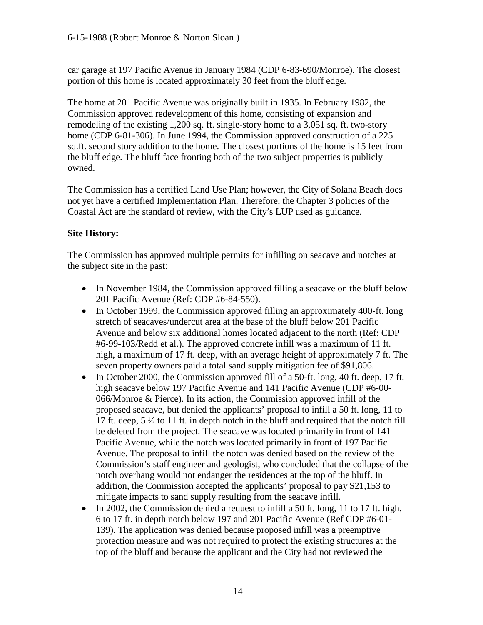car garage at 197 Pacific Avenue in January 1984 (CDP 6-83-690/Monroe). The closest portion of this home is located approximately 30 feet from the bluff edge.

The home at 201 Pacific Avenue was originally built in 1935. In February 1982, the Commission approved redevelopment of this home, consisting of expansion and remodeling of the existing 1,200 sq. ft. single-story home to a 3,051 sq. ft. two-story home (CDP 6-81-306). In June 1994, the Commission approved construction of a 225 sq.ft. second story addition to the home. The closest portions of the home is 15 feet from the bluff edge. The bluff face fronting both of the two subject properties is publicly owned.

The Commission has a certified Land Use Plan; however, the City of Solana Beach does not yet have a certified Implementation Plan. Therefore, the Chapter 3 policies of the Coastal Act are the standard of review, with the City's LUP used as guidance.

### **Site History:**

The Commission has approved multiple permits for infilling on seacave and notches at the subject site in the past:

- In November 1984, the Commission approved filling a seacave on the bluff below 201 Pacific Avenue (Ref: CDP #6-84-550).
- In October 1999, the Commission approved filling an approximately 400-ft. long stretch of seacaves/undercut area at the base of the bluff below 201 Pacific Avenue and below six additional homes located adjacent to the north (Ref: CDP #6-99-103/Redd et al.). The approved concrete infill was a maximum of 11 ft. high, a maximum of 17 ft. deep, with an average height of approximately 7 ft. The seven property owners paid a total sand supply mitigation fee of \$91,806.
- In October 2000, the Commission approved fill of a 50-ft. long, 40 ft. deep, 17 ft. high seacave below 197 Pacific Avenue and 141 Pacific Avenue (CDP #6-00- 066/Monroe & Pierce). In its action, the Commission approved infill of the proposed seacave, but denied the applicants' proposal to infill a 50 ft. long, 11 to 17 ft. deep, 5 ½ to 11 ft. in depth notch in the bluff and required that the notch fill be deleted from the project. The seacave was located primarily in front of 141 Pacific Avenue, while the notch was located primarily in front of 197 Pacific Avenue. The proposal to infill the notch was denied based on the review of the Commission's staff engineer and geologist, who concluded that the collapse of the notch overhang would not endanger the residences at the top of the bluff. In addition, the Commission accepted the applicants' proposal to pay \$21,153 to mitigate impacts to sand supply resulting from the seacave infill.
- In 2002, the Commission denied a request to infill a 50 ft. long, 11 to 17 ft. high, 6 to 17 ft. in depth notch below 197 and 201 Pacific Avenue (Ref CDP #6-01- 139). The application was denied because proposed infill was a preemptive protection measure and was not required to protect the existing structures at the top of the bluff and because the applicant and the City had not reviewed the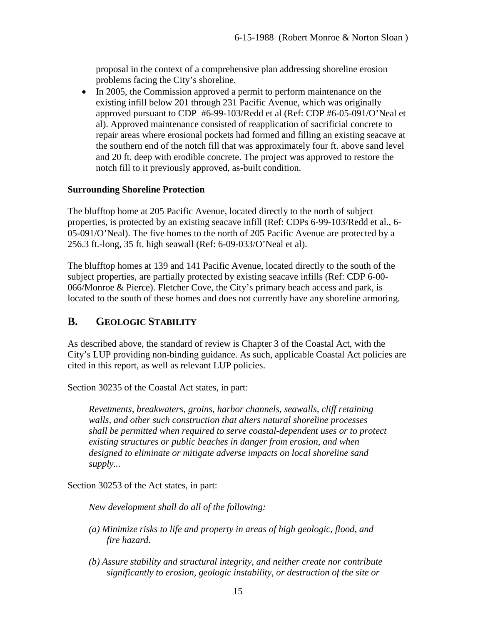proposal in the context of a comprehensive plan addressing shoreline erosion problems facing the City's shoreline.

• In 2005, the Commission approved a permit to perform maintenance on the existing infill below 201 through 231 Pacific Avenue, which was originally approved pursuant to CDP #6-99-103/Redd et al (Ref: CDP #6-05-091/O'Neal et al). Approved maintenance consisted of reapplication of sacrificial concrete to repair areas where erosional pockets had formed and filling an existing seacave at the southern end of the notch fill that was approximately four ft. above sand level and 20 ft. deep with erodible concrete. The project was approved to restore the notch fill to it previously approved, as-built condition.

### **Surrounding Shoreline Protection**

The blufftop home at 205 Pacific Avenue, located directly to the north of subject properties, is protected by an existing seacave infill (Ref: CDPs 6-99-103/Redd et al., 6- 05-091/O'Neal). The five homes to the north of 205 Pacific Avenue are protected by a 256.3 ft.-long, 35 ft. high seawall (Ref: 6-09-033/O'Neal et al).

The blufftop homes at 139 and 141 Pacific Avenue, located directly to the south of the subject properties, are partially protected by existing seacave infills (Ref: CDP 6-00- 066/Monroe & Pierce). Fletcher Cove, the City's primary beach access and park, is located to the south of these homes and does not currently have any shoreline armoring.

### <span id="page-14-0"></span>**B. GEOLOGIC STABILITY**

As described above, the standard of review is Chapter 3 of the Coastal Act, with the City's LUP providing non-binding guidance. As such, applicable Coastal Act policies are cited in this report, as well as relevant LUP policies.

Section 30235 of the Coastal Act states, in part:

*Revetments, breakwaters, groins, harbor channels, seawalls, cliff retaining walls, and other such construction that alters natural shoreline processes shall be permitted when required to serve coastal-dependent uses or to protect existing structures or public beaches in danger from erosion, and when designed to eliminate or mitigate adverse impacts on local shoreline sand supply...* 

Section 30253 of the Act states, in part:

*New development shall do all of the following:* 

- *(a) Minimize risks to life and property in areas of high geologic, flood, and fire hazard.*
- *(b) Assure stability and structural integrity, and neither create nor contribute significantly to erosion, geologic instability, or destruction of the site or*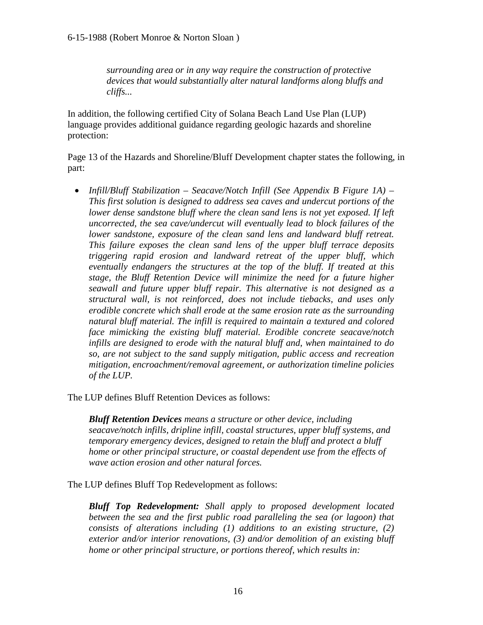*surrounding area or in any way require the construction of protective devices that would substantially alter natural landforms along bluffs and cliffs...*

In addition, the following certified City of Solana Beach Land Use Plan (LUP) language provides additional guidance regarding geologic hazards and shoreline protection:

Page 13 of the Hazards and Shoreline/Bluff Development chapter states the following, in part:

• *Infill/Bluff Stabilization – Seacave/Notch Infill (See Appendix B Figure 1A) – This first solution is designed to address sea caves and undercut portions of the lower dense sandstone bluff where the clean sand lens is not yet exposed. If left uncorrected, the sea cave/undercut will eventually lead to block failures of the lower sandstone, exposure of the clean sand lens and landward bluff retreat. This failure exposes the clean sand lens of the upper bluff terrace deposits triggering rapid erosion and landward retreat of the upper bluff, which eventually endangers the structures at the top of the bluff. If treated at this stage, the Bluff Retention Device will minimize the need for a future higher seawall and future upper bluff repair. This alternative is not designed as a structural wall, is not reinforced, does not include tiebacks, and uses only erodible concrete which shall erode at the same erosion rate as the surrounding natural bluff material. The infill is required to maintain a textured and colored face mimicking the existing bluff material. Erodible concrete seacave/notch infills are designed to erode with the natural bluff and, when maintained to do so, are not subject to the sand supply mitigation, public access and recreation mitigation, encroachment/removal agreement, or authorization timeline policies of the LUP.* 

The LUP defines Bluff Retention Devices as follows:

*Bluff Retention Devices means a structure or other device, including seacave/notch infills, dripline infill, coastal structures, upper bluff systems, and temporary emergency devices, designed to retain the bluff and protect a bluff home or other principal structure, or coastal dependent use from the effects of wave action erosion and other natural forces.* 

The LUP defines Bluff Top Redevelopment as follows:

*Bluff Top Redevelopment: Shall apply to proposed development located between the sea and the first public road paralleling the sea (or lagoon) that consists of alterations including (1) additions to an existing structure, (2) exterior and/or interior renovations, (3) and/or demolition of an existing bluff home or other principal structure, or portions thereof, which results in:*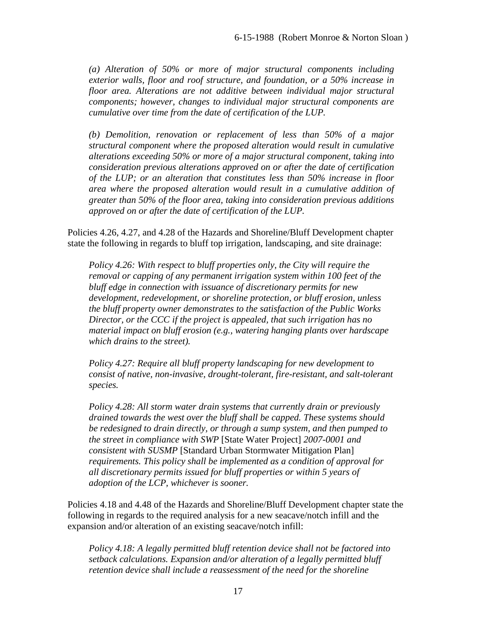*(a) Alteration of 50% or more of major structural components including exterior walls, floor and roof structure, and foundation, or a 50% increase in floor area. Alterations are not additive between individual major structural components; however, changes to individual major structural components are cumulative over time from the date of certification of the LUP.*

*(b) Demolition, renovation or replacement of less than 50% of a major structural component where the proposed alteration would result in cumulative alterations exceeding 50% or more of a major structural component, taking into consideration previous alterations approved on or after the date of certification of the LUP; or an alteration that constitutes less than 50% increase in floor area where the proposed alteration would result in a cumulative addition of greater than 50% of the floor area, taking into consideration previous additions approved on or after the date of certification of the LUP.* 

Policies 4.26, 4.27, and 4.28 of the Hazards and Shoreline/Bluff Development chapter state the following in regards to bluff top irrigation, landscaping, and site drainage:

*Policy 4.26: With respect to bluff properties only, the City will require the removal or capping of any permanent irrigation system within 100 feet of the bluff edge in connection with issuance of discretionary permits for new development, redevelopment, or shoreline protection, or bluff erosion, unless the bluff property owner demonstrates to the satisfaction of the Public Works Director, or the CCC if the project is appealed, that such irrigation has no material impact on bluff erosion (e.g., watering hanging plants over hardscape which drains to the street).*

*Policy 4.27: Require all bluff property landscaping for new development to consist of native, non-invasive, drought-tolerant, fire-resistant, and salt-tolerant species.*

*Policy 4.28: All storm water drain systems that currently drain or previously drained towards the west over the bluff shall be capped. These systems should be redesigned to drain directly, or through a sump system, and then pumped to the street in compliance with SWP* [State Water Project] *2007-0001 and consistent with SUSMP* [Standard Urban Stormwater Mitigation Plan] *requirements. This policy shall be implemented as a condition of approval for all discretionary permits issued for bluff properties or within 5 years of adoption of the LCP, whichever is sooner.* 

Policies 4.18 and 4.48 of the Hazards and Shoreline/Bluff Development chapter state the following in regards to the required analysis for a new seacave/notch infill and the expansion and/or alteration of an existing seacave/notch infill:

*Policy 4.18: A legally permitted bluff retention device shall not be factored into setback calculations. Expansion and/or alteration of a legally permitted bluff retention device shall include a reassessment of the need for the shoreline*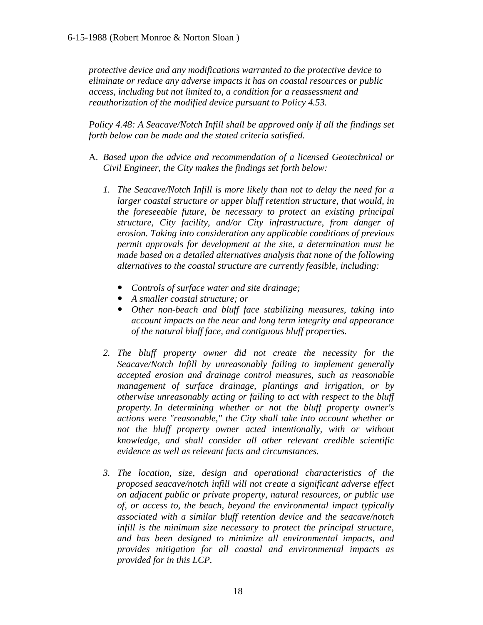*protective device and any modifications warranted to the protective device to eliminate or reduce any adverse impacts it has on coastal resources or public access, including but not limited to, a condition for a reassessment and reauthorization of the modified device pursuant to Policy 4.53.* 

*Policy 4.48: A Seacave/Notch Infill shall be approved only if all the findings set forth below can be made and the stated criteria satisfied.* 

- A. *Based upon the advice and recommendation of a licensed Geotechnical or Civil Engineer, the City makes the findings set forth below:* 
	- *1. The Seacave/Notch Infill is more likely than not to delay the need for a*  larger coastal structure or upper bluff retention structure, that would, in *the foreseeable future, be necessary to protect an existing principal structure, City facility, and/or City infrastructure, from danger of erosion. Taking into consideration any applicable conditions of previous permit approvals for development at the site, a determination must be made based on a detailed alternatives analysis that none of the following alternatives to the coastal structure are currently feasible, including:* 
		- *Controls of surface water and site drainage;*
		- *A smaller coastal structure; or*
		- *Other non-beach and bluff face stabilizing measures, taking into account impacts on the near and long term integrity and appearance of the natural bluff face, and contiguous bluff properties.*
	- *2. The bluff property owner did not create the necessity for the Seacave/Notch Infill by unreasonably failing to implement generally accepted erosion and drainage control measures, such as reasonable management of surface drainage, plantings and irrigation, or by otherwise unreasonably acting or failing to act with respect to the bluff property. In determining whether or not the bluff property owner's actions were "reasonable," the City shall take into account whether or not the bluff property owner acted intentionally, with or without knowledge, and shall consider all other relevant credible scientific evidence as well as relevant facts and circumstances.*
	- *3. The location, size, design and operational characteristics of the proposed seacave/notch infill will not create a significant adverse effect on adjacent public or private property, natural resources, or public use of, or access to, the beach, beyond the environmental impact typically associated with a similar bluff retention device and the seacave/notch infill is the minimum size necessary to protect the principal structure, and has been designed to minimize all environmental impacts, and provides mitigation for all coastal and environmental impacts as provided for in this LCP.*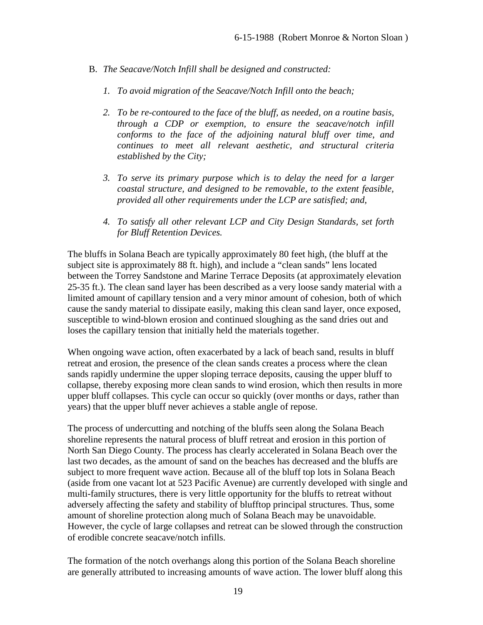- B. *The Seacave/Notch Infill shall be designed and constructed:* 
	- *1. To avoid migration of the Seacave/Notch Infill onto the beach;*
	- *2. To be re-contoured to the face of the bluff, as needed, on a routine basis, through a CDP or exemption, to ensure the seacave/notch infill conforms to the face of the adjoining natural bluff over time, and continues to meet all relevant aesthetic, and structural criteria established by the City;*
	- *3. To serve its primary purpose which is to delay the need for a larger coastal structure, and designed to be removable, to the extent feasible, provided all other requirements under the LCP are satisfied; and,*
	- *4. To satisfy all other relevant LCP and City Design Standards, set forth for Bluff Retention Devices.*

The bluffs in Solana Beach are typically approximately 80 feet high, (the bluff at the subject site is approximately 88 ft. high), and include a "clean sands" lens located between the Torrey Sandstone and Marine Terrace Deposits (at approximately elevation 25-35 ft.). The clean sand layer has been described as a very loose sandy material with a limited amount of capillary tension and a very minor amount of cohesion, both of which cause the sandy material to dissipate easily, making this clean sand layer, once exposed, susceptible to wind-blown erosion and continued sloughing as the sand dries out and loses the capillary tension that initially held the materials together.

When ongoing wave action, often exacerbated by a lack of beach sand, results in bluff retreat and erosion, the presence of the clean sands creates a process where the clean sands rapidly undermine the upper sloping terrace deposits, causing the upper bluff to collapse, thereby exposing more clean sands to wind erosion, which then results in more upper bluff collapses. This cycle can occur so quickly (over months or days, rather than years) that the upper bluff never achieves a stable angle of repose.

The process of undercutting and notching of the bluffs seen along the Solana Beach shoreline represents the natural process of bluff retreat and erosion in this portion of North San Diego County. The process has clearly accelerated in Solana Beach over the last two decades, as the amount of sand on the beaches has decreased and the bluffs are subject to more frequent wave action. Because all of the bluff top lots in Solana Beach (aside from one vacant lot at 523 Pacific Avenue) are currently developed with single and multi-family structures, there is very little opportunity for the bluffs to retreat without adversely affecting the safety and stability of blufftop principal structures. Thus, some amount of shoreline protection along much of Solana Beach may be unavoidable. However, the cycle of large collapses and retreat can be slowed through the construction of erodible concrete seacave/notch infills.

The formation of the notch overhangs along this portion of the Solana Beach shoreline are generally attributed to increasing amounts of wave action. The lower bluff along this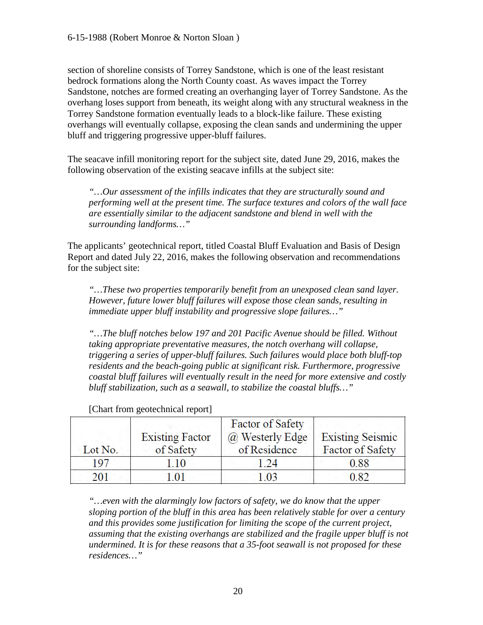section of shoreline consists of Torrey Sandstone, which is one of the least resistant bedrock formations along the North County coast. As waves impact the Torrey Sandstone, notches are formed creating an overhanging layer of Torrey Sandstone. As the overhang loses support from beneath, its weight along with any structural weakness in the Torrey Sandstone formation eventually leads to a block-like failure. These existing overhangs will eventually collapse, exposing the clean sands and undermining the upper bluff and triggering progressive upper-bluff failures.

The seacave infill monitoring report for the subject site, dated June 29, 2016, makes the following observation of the existing seacave infills at the subject site:

*"…Our assessment of the infills indicates that they are structurally sound and performing well at the present time. The surface textures and colors of the wall face are essentially similar to the adjacent sandstone and blend in well with the surrounding landforms…"* 

The applicants' geotechnical report, titled Coastal Bluff Evaluation and Basis of Design Report and dated July 22, 2016, makes the following observation and recommendations for the subject site:

*"…These two properties temporarily benefit from an unexposed clean sand layer. However, future lower bluff failures will expose those clean sands, resulting in immediate upper bluff instability and progressive slope failures…"*

*"…The bluff notches below 197 and 201 Pacific Avenue should be filled. Without taking appropriate preventative measures, the notch overhang will collapse, triggering a series of upper-bluff failures. Such failures would place both bluff-top residents and the beach-going public at significant risk. Furthermore, progressive coastal bluff failures will eventually result in the need for more extensive and costly bluff stabilization, such as a seawall, to stabilize the coastal bluffs…"*

| Lot No. | <b>Existing Factor</b><br>of Safety | <b>Factor of Safety</b><br>@ Westerly Edge<br>of Residence | <b>Existing Seismic</b><br>Factor of Safety |
|---------|-------------------------------------|------------------------------------------------------------|---------------------------------------------|
| 197     |                                     | 24                                                         | 0.88                                        |
| 201     | -01                                 | 0 <sup>3</sup>                                             |                                             |

[Chart from geotechnical report]

*"…even with the alarmingly low factors of safety, we do know that the upper sloping portion of the bluff in this area has been relatively stable for over a century and this provides some justification for limiting the scope of the current project, assuming that the existing overhangs are stabilized and the fragile upper bluff is not undermined. It is for these reasons that a 35-foot seawall is not proposed for these residences…"*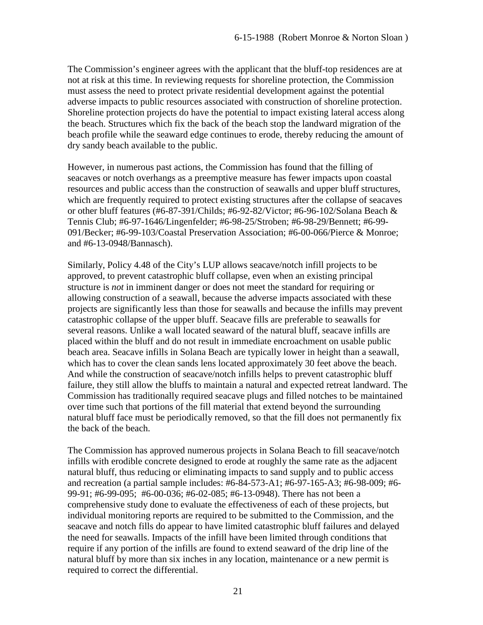The Commission's engineer agrees with the applicant that the bluff-top residences are at not at risk at this time. In reviewing requests for shoreline protection, the Commission must assess the need to protect private residential development against the potential adverse impacts to public resources associated with construction of shoreline protection. Shoreline protection projects do have the potential to impact existing lateral access along the beach. Structures which fix the back of the beach stop the landward migration of the beach profile while the seaward edge continues to erode, thereby reducing the amount of dry sandy beach available to the public.

However, in numerous past actions, the Commission has found that the filling of seacaves or notch overhangs as a preemptive measure has fewer impacts upon coastal resources and public access than the construction of seawalls and upper bluff structures, which are frequently required to protect existing structures after the collapse of seacaves or other bluff features (#6-87-391/Childs; #6-92-82/Victor; #6-96-102/Solana Beach & Tennis Club; #6-97-1646/Lingenfelder; #6-98-25/Stroben; #6-98-29/Bennett; #6-99- 091/Becker; #6-99-103/Coastal Preservation Association; #6-00-066/Pierce & Monroe; and #6-13-0948/Bannasch).

Similarly, Policy 4.48 of the City's LUP allows seacave/notch infill projects to be approved, to prevent catastrophic bluff collapse, even when an existing principal structure is *not* in imminent danger or does not meet the standard for requiring or allowing construction of a seawall, because the adverse impacts associated with these projects are significantly less than those for seawalls and because the infills may prevent catastrophic collapse of the upper bluff. Seacave fills are preferable to seawalls for several reasons. Unlike a wall located seaward of the natural bluff, seacave infills are placed within the bluff and do not result in immediate encroachment on usable public beach area. Seacave infills in Solana Beach are typically lower in height than a seawall, which has to cover the clean sands lens located approximately 30 feet above the beach. And while the construction of seacave/notch infills helps to prevent catastrophic bluff failure, they still allow the bluffs to maintain a natural and expected retreat landward. The Commission has traditionally required seacave plugs and filled notches to be maintained over time such that portions of the fill material that extend beyond the surrounding natural bluff face must be periodically removed, so that the fill does not permanently fix the back of the beach.

The Commission has approved numerous projects in Solana Beach to fill seacave/notch infills with erodible concrete designed to erode at roughly the same rate as the adjacent natural bluff, thus reducing or eliminating impacts to sand supply and to public access and recreation (a partial sample includes: #6-84-573-A1; #6-97-165-A3; #6-98-009; #6- 99-91; #6-99-095; #6-00-036; #6-02-085; #6-13-0948). There has not been a comprehensive study done to evaluate the effectiveness of each of these projects, but individual monitoring reports are required to be submitted to the Commission, and the seacave and notch fills do appear to have limited catastrophic bluff failures and delayed the need for seawalls. Impacts of the infill have been limited through conditions that require if any portion of the infills are found to extend seaward of the drip line of the natural bluff by more than six inches in any location, maintenance or a new permit is required to correct the differential.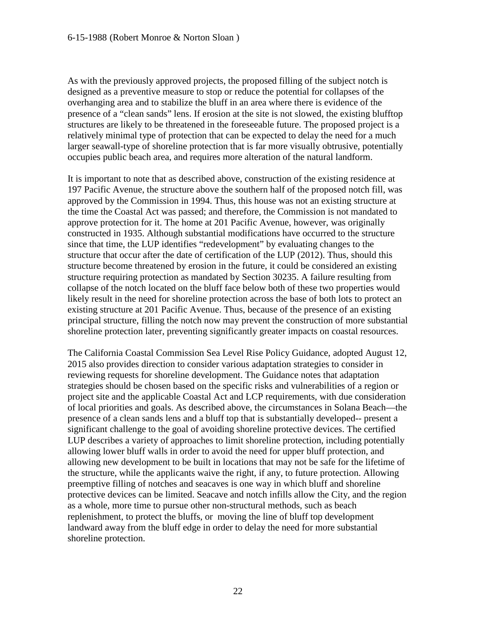As with the previously approved projects, the proposed filling of the subject notch is designed as a preventive measure to stop or reduce the potential for collapses of the overhanging area and to stabilize the bluff in an area where there is evidence of the presence of a "clean sands" lens. If erosion at the site is not slowed, the existing blufftop structures are likely to be threatened in the foreseeable future. The proposed project is a relatively minimal type of protection that can be expected to delay the need for a much larger seawall-type of shoreline protection that is far more visually obtrusive, potentially occupies public beach area, and requires more alteration of the natural landform.

It is important to note that as described above, construction of the existing residence at 197 Pacific Avenue, the structure above the southern half of the proposed notch fill, was approved by the Commission in 1994. Thus, this house was not an existing structure at the time the Coastal Act was passed; and therefore, the Commission is not mandated to approve protection for it. The home at 201 Pacific Avenue, however, was originally constructed in 1935. Although substantial modifications have occurred to the structure since that time, the LUP identifies "redevelopment" by evaluating changes to the structure that occur after the date of certification of the LUP (2012). Thus, should this structure become threatened by erosion in the future, it could be considered an existing structure requiring protection as mandated by Section 30235. A failure resulting from collapse of the notch located on the bluff face below both of these two properties would likely result in the need for shoreline protection across the base of both lots to protect an existing structure at 201 Pacific Avenue. Thus, because of the presence of an existing principal structure, filling the notch now may prevent the construction of more substantial shoreline protection later, preventing significantly greater impacts on coastal resources.

The California Coastal Commission Sea Level Rise Policy Guidance, adopted August 12, 2015 also provides direction to consider various adaptation strategies to consider in reviewing requests for shoreline development. The Guidance notes that adaptation strategies should be chosen based on the specific risks and vulnerabilities of a region or project site and the applicable Coastal Act and LCP requirements, with due consideration of local priorities and goals. As described above, the circumstances in Solana Beach—the presence of a clean sands lens and a bluff top that is substantially developed-- present a significant challenge to the goal of avoiding shoreline protective devices. The certified LUP describes a variety of approaches to limit shoreline protection, including potentially allowing lower bluff walls in order to avoid the need for upper bluff protection, and allowing new development to be built in locations that may not be safe for the lifetime of the structure, while the applicants waive the right, if any, to future protection. Allowing preemptive filling of notches and seacaves is one way in which bluff and shoreline protective devices can be limited. Seacave and notch infills allow the City, and the region as a whole, more time to pursue other non-structural methods, such as beach replenishment, to protect the bluffs, or moving the line of bluff top development landward away from the bluff edge in order to delay the need for more substantial shoreline protection.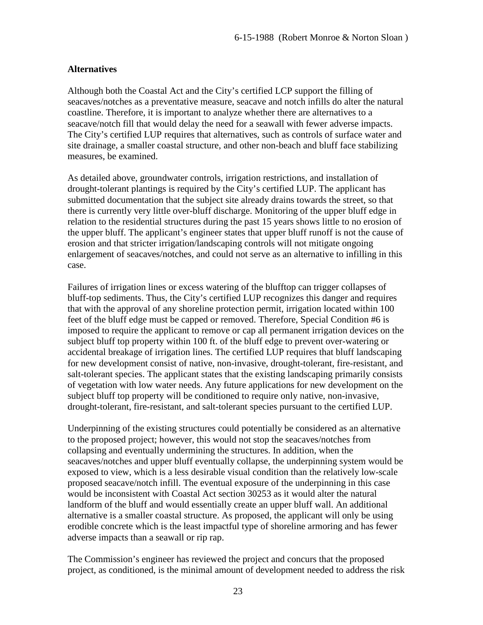#### **Alternatives**

Although both the Coastal Act and the City's certified LCP support the filling of seacaves/notches as a preventative measure, seacave and notch infills do alter the natural coastline. Therefore, it is important to analyze whether there are alternatives to a seacave/notch fill that would delay the need for a seawall with fewer adverse impacts. The City's certified LUP requires that alternatives, such as controls of surface water and site drainage, a smaller coastal structure, and other non-beach and bluff face stabilizing measures, be examined.

As detailed above, groundwater controls, irrigation restrictions, and installation of drought-tolerant plantings is required by the City's certified LUP. The applicant has submitted documentation that the subject site already drains towards the street, so that there is currently very little over-bluff discharge. Monitoring of the upper bluff edge in relation to the residential structures during the past 15 years shows little to no erosion of the upper bluff. The applicant's engineer states that upper bluff runoff is not the cause of erosion and that stricter irrigation/landscaping controls will not mitigate ongoing enlargement of seacaves/notches, and could not serve as an alternative to infilling in this case.

Failures of irrigation lines or excess watering of the blufftop can trigger collapses of bluff-top sediments. Thus, the City's certified LUP recognizes this danger and requires that with the approval of any shoreline protection permit, irrigation located within 100 feet of the bluff edge must be capped or removed. Therefore, Special Condition #6 is imposed to require the applicant to remove or cap all permanent irrigation devices on the subject bluff top property within 100 ft. of the bluff edge to prevent over-watering or accidental breakage of irrigation lines. The certified LUP requires that bluff landscaping for new development consist of native, non-invasive, drought-tolerant, fire-resistant, and salt-tolerant species. The applicant states that the existing landscaping primarily consists of vegetation with low water needs. Any future applications for new development on the subject bluff top property will be conditioned to require only native, non-invasive, drought-tolerant, fire-resistant, and salt-tolerant species pursuant to the certified LUP.

Underpinning of the existing structures could potentially be considered as an alternative to the proposed project; however, this would not stop the seacaves/notches from collapsing and eventually undermining the structures. In addition, when the seacaves/notches and upper bluff eventually collapse, the underpinning system would be exposed to view, which is a less desirable visual condition than the relatively low-scale proposed seacave/notch infill. The eventual exposure of the underpinning in this case would be inconsistent with Coastal Act section 30253 as it would alter the natural landform of the bluff and would essentially create an upper bluff wall. An additional alternative is a smaller coastal structure. As proposed, the applicant will only be using erodible concrete which is the least impactful type of shoreline armoring and has fewer adverse impacts than a seawall or rip rap.

The Commission's engineer has reviewed the project and concurs that the proposed project, as conditioned, is the minimal amount of development needed to address the risk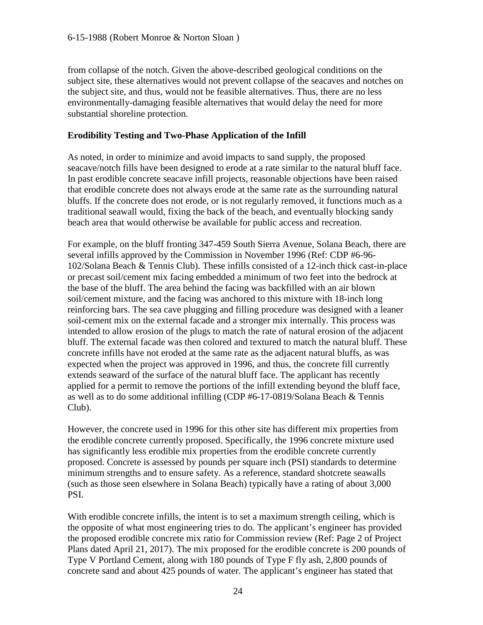from collapse of the notch. Given the above-described geological conditions on the subject site, these alternatives would not prevent collapse of the seacaves and notches on the subject site, and thus, would not be feasible alternatives. Thus, there are no less environmentally-damaging feasible alternatives that would delay the need for more substantial shoreline protection.

### **Erodibility Testing and Two-Phase Application of the Infill**

As noted, in order to minimize and avoid impacts to sand supply, the proposed seacave/notch fills have been designed to erode at a rate similar to the natural bluff face. In past erodible concrete seacave infill projects, reasonable objections have been raised that erodible concrete does not always erode at the same rate as the surrounding natural bluffs. If the concrete does not erode, or is not regularly removed, it functions much as a traditional seawall would, fixing the back of the beach, and eventually blocking sandy beach area that would otherwise be available for public access and recreation.

For example, on the bluff fronting 347-459 South Sierra Avenue, Solana Beach, there are several infills approved by the Commission in November 1996 (Ref: CDP #6-96- 102/Solana Beach & Tennis Club). These infills consisted of a 12-inch thick cast-in-place or precast soil/cement mix facing embedded a minimum of two feet into the bedrock at the base of the bluff. The area behind the facing was backfilled with an air blown soil/cement mixture, and the facing was anchored to this mixture with 18-inch long reinforcing bars. The sea cave plugging and filling procedure was designed with a leaner soil-cement mix on the external facade and a stronger mix internally. This process was intended to allow erosion of the plugs to match the rate of natural erosion of the adjacent bluff. The external facade was then colored and textured to match the natural bluff. These concrete infills have not eroded at the same rate as the adjacent natural bluffs, as was expected when the project was approved in 1996, and thus, the concrete fill currently extends seaward of the surface of the natural bluff face. The applicant has recently applied for a permit to remove the portions of the infill extending beyond the bluff face, as well as to do some additional infilling (CDP #6-17-0819/Solana Beach & Tennis Club).

However, the concrete used in 1996 for this other site has different mix properties from the erodible concrete currently proposed. Specifically, the 1996 concrete mixture used has significantly less erodible mix properties from the erodible concrete currently proposed. Concrete is assessed by pounds per square inch (PSI) standards to determine minimum strengths and to ensure safety. As a reference, standard shotcrete seawalls (such as those seen elsewhere in Solana Beach) typically have a rating of about 3,000 PSI.

With erodible concrete infills, the intent is to set a maximum strength ceiling, which is the opposite of what most engineering tries to do. The applicant's engineer has provided the proposed erodible concrete mix ratio for Commission review (Ref: Page 2 of Project Plans dated April 21, 2017). The mix proposed for the erodible concrete is 200 pounds of Type V Portland Cement, along with 180 pounds of Type F fly ash, 2,800 pounds of concrete sand and about 425 pounds of water. The applicant's engineer has stated that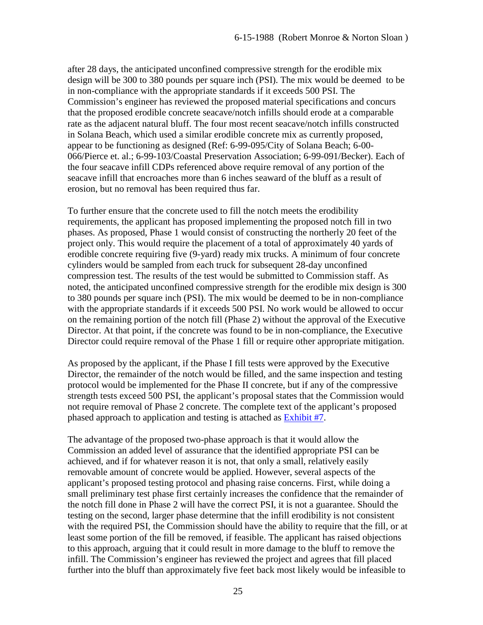after 28 days, the anticipated unconfined compressive strength for the erodible mix design will be 300 to 380 pounds per square inch (PSI). The mix would be deemed to be in non-compliance with the appropriate standards if it exceeds 500 PSI. The Commission's engineer has reviewed the proposed material specifications and concurs that the proposed erodible concrete seacave/notch infills should erode at a comparable rate as the adjacent natural bluff. The four most recent seacave/notch infills constructed in Solana Beach, which used a similar erodible concrete mix as currently proposed, appear to be functioning as designed (Ref: 6-99-095/City of Solana Beach; 6-00- 066/Pierce et. al.; 6-99-103/Coastal Preservation Association; 6-99-091/Becker). Each of the four seacave infill CDPs referenced above require removal of any portion of the seacave infill that encroaches more than 6 inches seaward of the bluff as a result of erosion, but no removal has been required thus far.

To further ensure that the concrete used to fill the notch meets the erodibility requirements, the applicant has proposed implementing the proposed notch fill in two phases. As proposed, Phase 1 would consist of constructing the northerly 20 feet of the project only. This would require the placement of a total of approximately 40 yards of erodible concrete requiring five (9-yard) ready mix trucks. A minimum of four concrete cylinders would be sampled from each truck for subsequent 28-day unconfined compression test. The results of the test would be submitted to Commission staff. As noted, the anticipated unconfined compressive strength for the erodible mix design is 300 to 380 pounds per square inch (PSI). The mix would be deemed to be in non-compliance with the appropriate standards if it exceeds 500 PSI. No work would be allowed to occur on the remaining portion of the notch fill (Phase 2) without the approval of the Executive Director. At that point, if the concrete was found to be in non-compliance, the Executive Director could require removal of the Phase 1 fill or require other appropriate mitigation.

As proposed by the applicant, if the Phase I fill tests were approved by the Executive Director, the remainder of the notch would be filled, and the same inspection and testing protocol would be implemented for the Phase II concrete, but if any of the compressive strength tests exceed 500 PSI, the applicant's proposal states that the Commission would not require removal of Phase 2 concrete. The complete text of the applicant's proposed phased approach to application and testing is attached as [Exhibit #7.](https://documents.coastal.ca.gov/reports/2017/11/Th17a/Th17a-11-2017-exhibits.pdf)

The advantage of the proposed two-phase approach is that it would allow the Commission an added level of assurance that the identified appropriate PSI can be achieved, and if for whatever reason it is not, that only a small, relatively easily removable amount of concrete would be applied. However, several aspects of the applicant's proposed testing protocol and phasing raise concerns. First, while doing a small preliminary test phase first certainly increases the confidence that the remainder of the notch fill done in Phase 2 will have the correct PSI, it is not a guarantee. Should the testing on the second, larger phase determine that the infill erodibility is not consistent with the required PSI, the Commission should have the ability to require that the fill, or at least some portion of the fill be removed, if feasible. The applicant has raised objections to this approach, arguing that it could result in more damage to the bluff to remove the infill. The Commission's engineer has reviewed the project and agrees that fill placed further into the bluff than approximately five feet back most likely would be infeasible to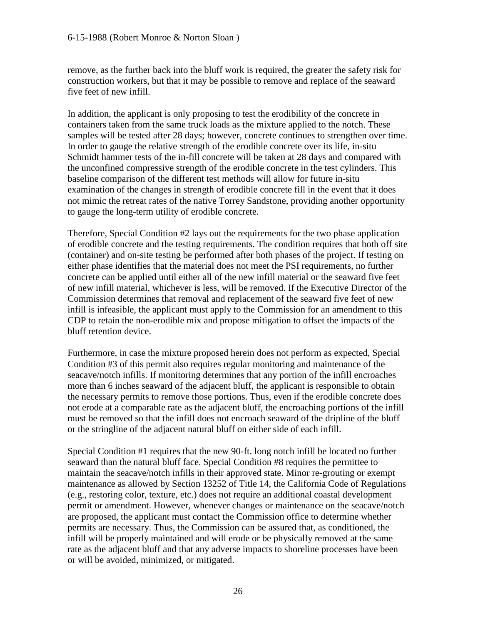#### 6-15-1988 (Robert Monroe & Norton Sloan )

remove, as the further back into the bluff work is required, the greater the safety risk for construction workers, but that it may be possible to remove and replace of the seaward five feet of new infill.

In addition, the applicant is only proposing to test the erodibility of the concrete in containers taken from the same truck loads as the mixture applied to the notch. These samples will be tested after 28 days; however, concrete continues to strengthen over time. In order to gauge the relative strength of the erodible concrete over its life, in-situ Schmidt hammer tests of the in-fill concrete will be taken at 28 days and compared with the unconfined compressive strength of the erodible concrete in the test cylinders. This baseline comparison of the different test methods will allow for future in-situ examination of the changes in strength of erodible concrete fill in the event that it does not mimic the retreat rates of the native Torrey Sandstone, providing another opportunity to gauge the long-term utility of erodible concrete.

Therefore, Special Condition #2 lays out the requirements for the two phase application of erodible concrete and the testing requirements. The condition requires that both off site (container) and on-site testing be performed after both phases of the project. If testing on either phase identifies that the material does not meet the PSI requirements, no further concrete can be applied until either all of the new infill material or the seaward five feet of new infill material, whichever is less, will be removed. If the Executive Director of the Commission determines that removal and replacement of the seaward five feet of new infill is infeasible, the applicant must apply to the Commission for an amendment to this CDP to retain the non-erodible mix and propose mitigation to offset the impacts of the bluff retention device.

Furthermore, in case the mixture proposed herein does not perform as expected, Special Condition #3 of this permit also requires regular monitoring and maintenance of the seacave/notch infills. If monitoring determines that any portion of the infill encroaches more than 6 inches seaward of the adjacent bluff, the applicant is responsible to obtain the necessary permits to remove those portions. Thus, even if the erodible concrete does not erode at a comparable rate as the adjacent bluff, the encroaching portions of the infill must be removed so that the infill does not encroach seaward of the dripline of the bluff or the stringline of the adjacent natural bluff on either side of each infill.

Special Condition #1 requires that the new 90-ft. long notch infill be located no further seaward than the natural bluff face. Special Condition #8 requires the permittee to maintain the seacave/notch infills in their approved state. Minor re-grouting or exempt maintenance as allowed by Section 13252 of Title 14, the California Code of Regulations (e.g., restoring color, texture, etc.) does not require an additional coastal development permit or amendment. However, whenever changes or maintenance on the seacave/notch are proposed, the applicant must contact the Commission office to determine whether permits are necessary. Thus, the Commission can be assured that, as conditioned, the infill will be properly maintained and will erode or be physically removed at the same rate as the adjacent bluff and that any adverse impacts to shoreline processes have been or will be avoided, minimized, or mitigated.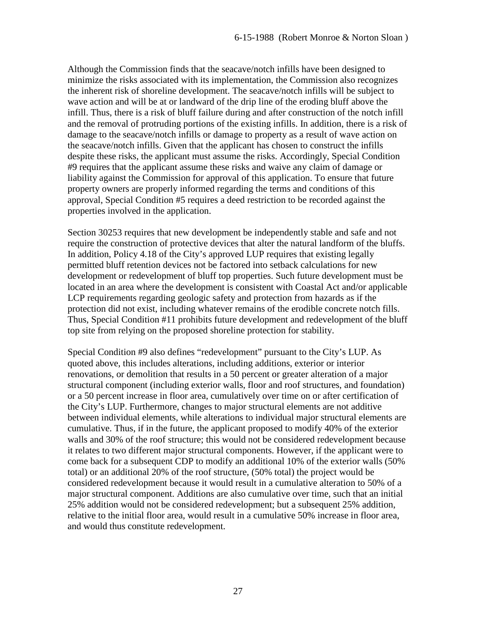Although the Commission finds that the seacave/notch infills have been designed to minimize the risks associated with its implementation, the Commission also recognizes the inherent risk of shoreline development. The seacave/notch infills will be subject to wave action and will be at or landward of the drip line of the eroding bluff above the infill. Thus, there is a risk of bluff failure during and after construction of the notch infill and the removal of protruding portions of the existing infills. In addition, there is a risk of damage to the seacave/notch infills or damage to property as a result of wave action on the seacave/notch infills. Given that the applicant has chosen to construct the infills despite these risks, the applicant must assume the risks. Accordingly, Special Condition #9 requires that the applicant assume these risks and waive any claim of damage or liability against the Commission for approval of this application. To ensure that future property owners are properly informed regarding the terms and conditions of this approval, Special Condition #5 requires a deed restriction to be recorded against the properties involved in the application.

Section 30253 requires that new development be independently stable and safe and not require the construction of protective devices that alter the natural landform of the bluffs. In addition, Policy 4.18 of the City's approved LUP requires that existing legally permitted bluff retention devices not be factored into setback calculations for new development or redevelopment of bluff top properties. Such future development must be located in an area where the development is consistent with Coastal Act and/or applicable LCP requirements regarding geologic safety and protection from hazards as if the protection did not exist, including whatever remains of the erodible concrete notch fills. Thus, Special Condition #11 prohibits future development and redevelopment of the bluff top site from relying on the proposed shoreline protection for stability.

Special Condition #9 also defines "redevelopment" pursuant to the City's LUP. As quoted above, this includes alterations, including additions, exterior or interior renovations, or demolition that results in a 50 percent or greater alteration of a major structural component (including exterior walls, floor and roof structures, and foundation) or a 50 percent increase in floor area, cumulatively over time on or after certification of the City's LUP. Furthermore, changes to major structural elements are not additive between individual elements, while alterations to individual major structural elements are cumulative. Thus, if in the future, the applicant proposed to modify 40% of the exterior walls and 30% of the roof structure; this would not be considered redevelopment because it relates to two different major structural components. However, if the applicant were to come back for a subsequent CDP to modify an additional 10% of the exterior walls (50% total) or an additional 20% of the roof structure, (50% total) the project would be considered redevelopment because it would result in a cumulative alteration to 50% of a major structural component. Additions are also cumulative over time, such that an initial 25% addition would not be considered redevelopment; but a subsequent 25% addition, relative to the initial floor area, would result in a cumulative 50% increase in floor area, and would thus constitute redevelopment.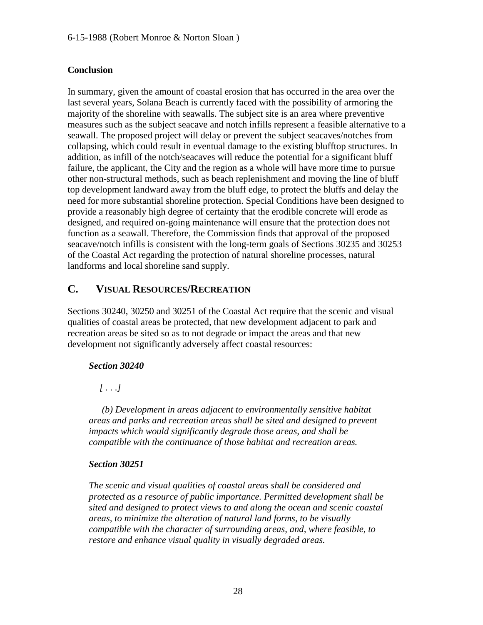### **Conclusion**

In summary, given the amount of coastal erosion that has occurred in the area over the last several years, Solana Beach is currently faced with the possibility of armoring the majority of the shoreline with seawalls. The subject site is an area where preventive measures such as the subject seacave and notch infills represent a feasible alternative to a seawall. The proposed project will delay or prevent the subject seacaves/notches from collapsing, which could result in eventual damage to the existing blufftop structures. In addition, as infill of the notch/seacaves will reduce the potential for a significant bluff failure, the applicant, the City and the region as a whole will have more time to pursue other non-structural methods, such as beach replenishment and moving the line of bluff top development landward away from the bluff edge, to protect the bluffs and delay the need for more substantial shoreline protection. Special Conditions have been designed to provide a reasonably high degree of certainty that the erodible concrete will erode as designed, and required on-going maintenance will ensure that the protection does not function as a seawall. Therefore, the Commission finds that approval of the proposed seacave/notch infills is consistent with the long-term goals of Sections 30235 and 30253 of the Coastal Act regarding the protection of natural shoreline processes, natural landforms and local shoreline sand supply.

### <span id="page-27-0"></span>**C. VISUAL RESOURCES/RECREATION**

Sections 30240, 30250 and 30251 of the Coastal Act require that the scenic and visual qualities of coastal areas be protected, that new development adjacent to park and recreation areas be sited so as to not degrade or impact the areas and that new development not significantly adversely affect coastal resources:

### *Section 30240*

 *[ . . .]* 

 *(b) Development in areas adjacent to environmentally sensitive habitat areas and parks and recreation areas shall be sited and designed to prevent impacts which would significantly degrade those areas, and shall be compatible with the continuance of those habitat and recreation areas.* 

### *Section 30251*

*The scenic and visual qualities of coastal areas shall be considered and protected as a resource of public importance. Permitted development shall be sited and designed to protect views to and along the ocean and scenic coastal areas, to minimize the alteration of natural land forms, to be visually compatible with the character of surrounding areas, and, where feasible, to restore and enhance visual quality in visually degraded areas.*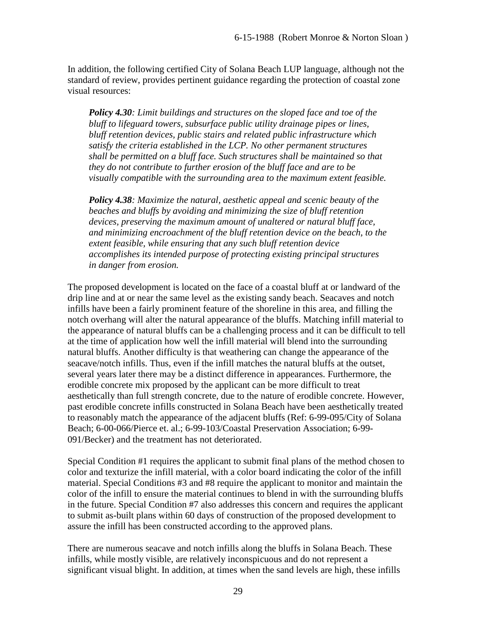In addition, the following certified City of Solana Beach LUP language, although not the standard of review, provides pertinent guidance regarding the protection of coastal zone visual resources:

*Policy 4.30: Limit buildings and structures on the sloped face and toe of the bluff to lifeguard towers, subsurface public utility drainage pipes or lines, bluff retention devices, public stairs and related public infrastructure which satisfy the criteria established in the LCP. No other permanent structures shall be permitted on a bluff face. Such structures shall be maintained so that they do not contribute to further erosion of the bluff face and are to be visually compatible with the surrounding area to the maximum extent feasible.* 

*Policy 4.38: Maximize the natural, aesthetic appeal and scenic beauty of the beaches and bluffs by avoiding and minimizing the size of bluff retention devices, preserving the maximum amount of unaltered or natural bluff face, and minimizing encroachment of the bluff retention device on the beach, to the extent feasible, while ensuring that any such bluff retention device accomplishes its intended purpose of protecting existing principal structures in danger from erosion.* 

The proposed development is located on the face of a coastal bluff at or landward of the drip line and at or near the same level as the existing sandy beach. Seacaves and notch infills have been a fairly prominent feature of the shoreline in this area, and filling the notch overhang will alter the natural appearance of the bluffs. Matching infill material to the appearance of natural bluffs can be a challenging process and it can be difficult to tell at the time of application how well the infill material will blend into the surrounding natural bluffs. Another difficulty is that weathering can change the appearance of the seacave/notch infills. Thus, even if the infill matches the natural bluffs at the outset, several years later there may be a distinct difference in appearances. Furthermore, the erodible concrete mix proposed by the applicant can be more difficult to treat aesthetically than full strength concrete, due to the nature of erodible concrete. However, past erodible concrete infills constructed in Solana Beach have been aesthetically treated to reasonably match the appearance of the adjacent bluffs (Ref: 6-99-095/City of Solana Beach; 6-00-066/Pierce et. al.; 6-99-103/Coastal Preservation Association; 6-99- 091/Becker) and the treatment has not deteriorated.

Special Condition #1 requires the applicant to submit final plans of the method chosen to color and texturize the infill material, with a color board indicating the color of the infill material. Special Conditions #3 and #8 require the applicant to monitor and maintain the color of the infill to ensure the material continues to blend in with the surrounding bluffs in the future. Special Condition #7 also addresses this concern and requires the applicant to submit as-built plans within 60 days of construction of the proposed development to assure the infill has been constructed according to the approved plans.

There are numerous seacave and notch infills along the bluffs in Solana Beach. These infills, while mostly visible, are relatively inconspicuous and do not represent a significant visual blight. In addition, at times when the sand levels are high, these infills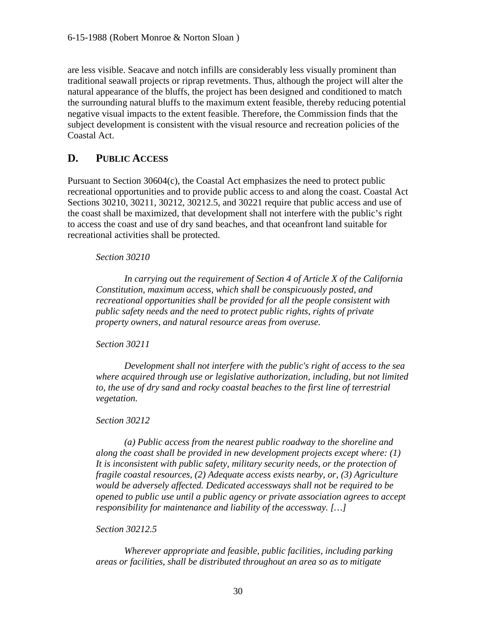are less visible. Seacave and notch infills are considerably less visually prominent than traditional seawall projects or riprap revetments. Thus, although the project will alter the natural appearance of the bluffs, the project has been designed and conditioned to match the surrounding natural bluffs to the maximum extent feasible, thereby reducing potential negative visual impacts to the extent feasible. Therefore, the Commission finds that the subject development is consistent with the visual resource and recreation policies of the Coastal Act.

### <span id="page-29-0"></span>**D. PUBLIC ACCESS**

Pursuant to Section 30604(c), the Coastal Act emphasizes the need to protect public recreational opportunities and to provide public access to and along the coast. Coastal Act Sections 30210, 30211, 30212, 30212.5, and 30221 require that public access and use of the coast shall be maximized, that development shall not interfere with the public's right to access the coast and use of dry sand beaches, and that oceanfront land suitable for recreational activities shall be protected.

### *Section 30210*

 *In carrying out the requirement of Section 4 of Article X of the California Constitution, maximum access, which shall be conspicuously posted, and recreational opportunities shall be provided for all the people consistent with public safety needs and the need to protect public rights, rights of private property owners, and natural resource areas from overuse.* 

### *Section 30211*

 *Development shall not interfere with the public's right of access to the sea where acquired through use or legislative authorization, including, but not limited to, the use of dry sand and rocky coastal beaches to the first line of terrestrial vegetation.* 

### *Section 30212*

 *(a) Public access from the nearest public roadway to the shoreline and along the coast shall be provided in new development projects except where: (1) It is inconsistent with public safety, military security needs, or the protection of fragile coastal resources, (2) Adequate access exists nearby, or, (3) Agriculture would be adversely affected. Dedicated accessways shall not be required to be opened to public use until a public agency or private association agrees to accept responsibility for maintenance and liability of the accessway. […]* 

### *Section 30212.5*

 *Wherever appropriate and feasible, public facilities, including parking areas or facilities, shall be distributed throughout an area so as to mitigate*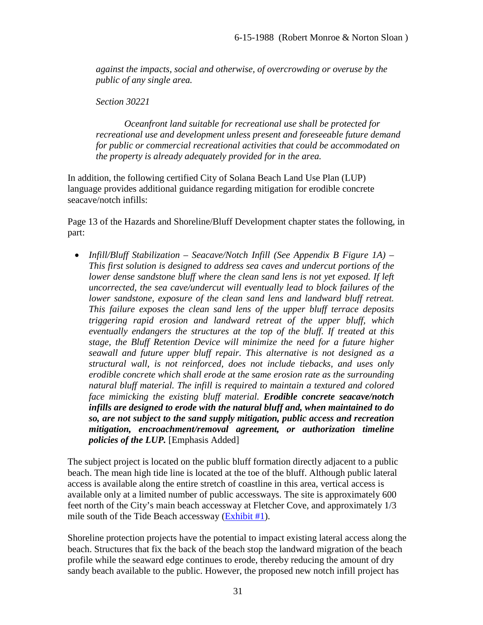*against the impacts, social and otherwise, of overcrowding or overuse by the public of any single area.* 

*Section 30221* 

 *Oceanfront land suitable for recreational use shall be protected for recreational use and development unless present and foreseeable future demand for public or commercial recreational activities that could be accommodated on the property is already adequately provided for in the area.* 

In addition, the following certified City of Solana Beach Land Use Plan (LUP) language provides additional guidance regarding mitigation for erodible concrete seacave/notch infills:

Page 13 of the Hazards and Shoreline/Bluff Development chapter states the following, in part:

• *Infill/Bluff Stabilization – Seacave/Notch Infill (See Appendix B Figure 1A) – This first solution is designed to address sea caves and undercut portions of the lower dense sandstone bluff where the clean sand lens is not yet exposed. If left uncorrected, the sea cave/undercut will eventually lead to block failures of the lower sandstone, exposure of the clean sand lens and landward bluff retreat. This failure exposes the clean sand lens of the upper bluff terrace deposits triggering rapid erosion and landward retreat of the upper bluff, which eventually endangers the structures at the top of the bluff. If treated at this stage, the Bluff Retention Device will minimize the need for a future higher seawall and future upper bluff repair. This alternative is not designed as a structural wall, is not reinforced, does not include tiebacks, and uses only erodible concrete which shall erode at the same erosion rate as the surrounding natural bluff material. The infill is required to maintain a textured and colored face mimicking the existing bluff material. Erodible concrete seacave/notch infills are designed to erode with the natural bluff and, when maintained to do so, are not subject to the sand supply mitigation, public access and recreation mitigation, encroachment/removal agreement, or authorization timeline policies of the LUP.* [Emphasis Added]

The subject project is located on the public bluff formation directly adjacent to a public beach. The mean high tide line is located at the toe of the bluff. Although public lateral access is available along the entire stretch of coastline in this area, vertical access is available only at a limited number of public accessways. The site is approximately 600 feet north of the City's main beach accessway at Fletcher Cove, and approximately 1/3 mile south of the Tide Beach accessway  $(Exhibit #1)$ .

Shoreline protection projects have the potential to impact existing lateral access along the beach. Structures that fix the back of the beach stop the landward migration of the beach profile while the seaward edge continues to erode, thereby reducing the amount of dry sandy beach available to the public. However, the proposed new notch infill project has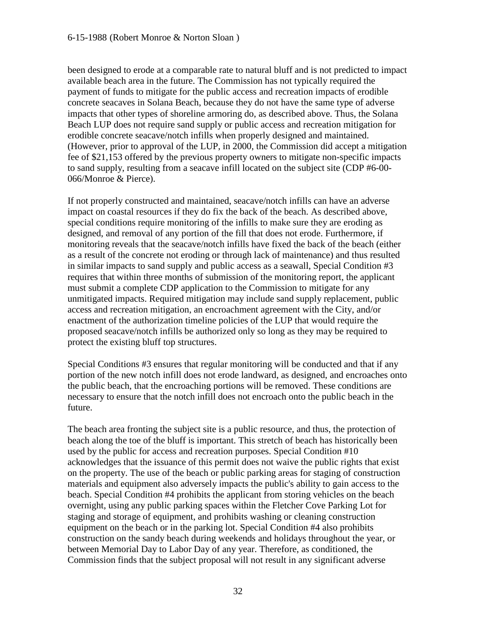been designed to erode at a comparable rate to natural bluff and is not predicted to impact available beach area in the future. The Commission has not typically required the payment of funds to mitigate for the public access and recreation impacts of erodible concrete seacaves in Solana Beach, because they do not have the same type of adverse impacts that other types of shoreline armoring do, as described above. Thus, the Solana Beach LUP does not require sand supply or public access and recreation mitigation for erodible concrete seacave/notch infills when properly designed and maintained. (However, prior to approval of the LUP, in 2000, the Commission did accept a mitigation fee of \$21,153 offered by the previous property owners to mitigate non-specific impacts to sand supply, resulting from a seacave infill located on the subject site (CDP #6-00- 066/Monroe & Pierce).

If not properly constructed and maintained, seacave/notch infills can have an adverse impact on coastal resources if they do fix the back of the beach. As described above, special conditions require monitoring of the infills to make sure they are eroding as designed, and removal of any portion of the fill that does not erode. Furthermore, if monitoring reveals that the seacave/notch infills have fixed the back of the beach (either as a result of the concrete not eroding or through lack of maintenance) and thus resulted in similar impacts to sand supply and public access as a seawall, Special Condition #3 requires that within three months of submission of the monitoring report, the applicant must submit a complete CDP application to the Commission to mitigate for any unmitigated impacts. Required mitigation may include sand supply replacement, public access and recreation mitigation, an encroachment agreement with the City, and/or enactment of the authorization timeline policies of the LUP that would require the proposed seacave/notch infills be authorized only so long as they may be required to protect the existing bluff top structures.

Special Conditions #3 ensures that regular monitoring will be conducted and that if any portion of the new notch infill does not erode landward, as designed, and encroaches onto the public beach, that the encroaching portions will be removed. These conditions are necessary to ensure that the notch infill does not encroach onto the public beach in the future.

The beach area fronting the subject site is a public resource, and thus, the protection of beach along the toe of the bluff is important. This stretch of beach has historically been used by the public for access and recreation purposes. Special Condition #10 acknowledges that the issuance of this permit does not waive the public rights that exist on the property. The use of the beach or public parking areas for staging of construction materials and equipment also adversely impacts the public's ability to gain access to the beach. Special Condition #4 prohibits the applicant from storing vehicles on the beach overnight, using any public parking spaces within the Fletcher Cove Parking Lot for staging and storage of equipment, and prohibits washing or cleaning construction equipment on the beach or in the parking lot. Special Condition #4 also prohibits construction on the sandy beach during weekends and holidays throughout the year, or between Memorial Day to Labor Day of any year. Therefore, as conditioned, the Commission finds that the subject proposal will not result in any significant adverse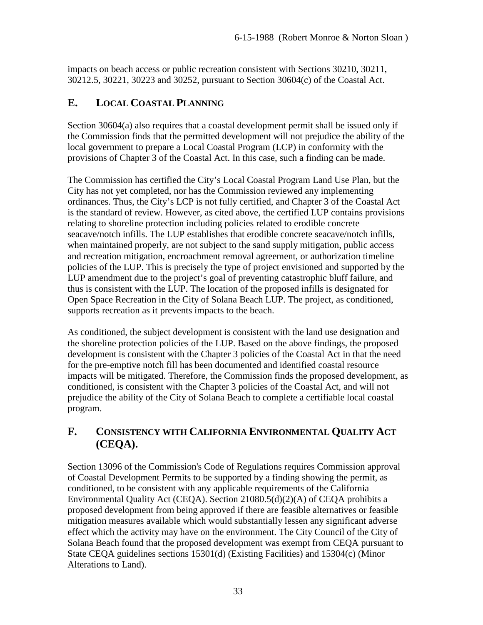impacts on beach access or public recreation consistent with Sections 30210, 30211, 30212.5, 30221, 30223 and 30252, pursuant to Section 30604(c) of the Coastal Act.

### <span id="page-32-0"></span>**E. LOCAL COASTAL PLANNING**

Section 30604(a) also requires that a coastal development permit shall be issued only if the Commission finds that the permitted development will not prejudice the ability of the local government to prepare a Local Coastal Program (LCP) in conformity with the provisions of Chapter 3 of the Coastal Act. In this case, such a finding can be made.

The Commission has certified the City's Local Coastal Program Land Use Plan, but the City has not yet completed, nor has the Commission reviewed any implementing ordinances. Thus, the City's LCP is not fully certified, and Chapter 3 of the Coastal Act is the standard of review. However, as cited above, the certified LUP contains provisions relating to shoreline protection including policies related to erodible concrete seacave/notch infills. The LUP establishes that erodible concrete seacave/notch infills, when maintained properly, are not subject to the sand supply mitigation, public access and recreation mitigation, encroachment removal agreement, or authorization timeline policies of the LUP. This is precisely the type of project envisioned and supported by the LUP amendment due to the project's goal of preventing catastrophic bluff failure, and thus is consistent with the LUP. The location of the proposed infills is designated for Open Space Recreation in the City of Solana Beach LUP. The project, as conditioned, supports recreation as it prevents impacts to the beach.

As conditioned, the subject development is consistent with the land use designation and the shoreline protection policies of the LUP. Based on the above findings, the proposed development is consistent with the Chapter 3 policies of the Coastal Act in that the need for the pre-emptive notch fill has been documented and identified coastal resource impacts will be mitigated. Therefore, the Commission finds the proposed development, as conditioned, is consistent with the Chapter 3 policies of the Coastal Act, and will not prejudice the ability of the City of Solana Beach to complete a certifiable local coastal program.

### <span id="page-32-1"></span>**F. CONSISTENCY WITH CALIFORNIA ENVIRONMENTAL QUALITY ACT (CEQA).**

Section 13096 of the Commission's Code of Regulations requires Commission approval of Coastal Development Permits to be supported by a finding showing the permit, as conditioned, to be consistent with any applicable requirements of the California Environmental Quality Act (CEQA). Section 21080.5(d)(2)(A) of CEQA prohibits a proposed development from being approved if there are feasible alternatives or feasible mitigation measures available which would substantially lessen any significant adverse effect which the activity may have on the environment. The City Council of the City of Solana Beach found that the proposed development was exempt from CEQA pursuant to State CEQA guidelines sections 15301(d) (Existing Facilities) and 15304(c) (Minor Alterations to Land).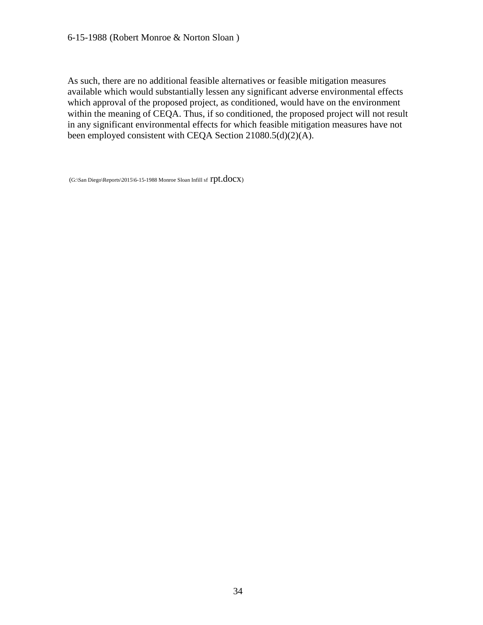#### 6-15-1988 (Robert Monroe & Norton Sloan )

As such, there are no additional feasible alternatives or feasible mitigation measures available which would substantially lessen any significant adverse environmental effects which approval of the proposed project, as conditioned, would have on the environment within the meaning of CEQA. Thus, if so conditioned, the proposed project will not result in any significant environmental effects for which feasible mitigation measures have not been employed consistent with CEQA Section 21080.5(d)(2)(A).

(G:\San Diego\Reports\2015\6-15-1988 Monroe Sloan Infill sf  $rpt.docx$ )